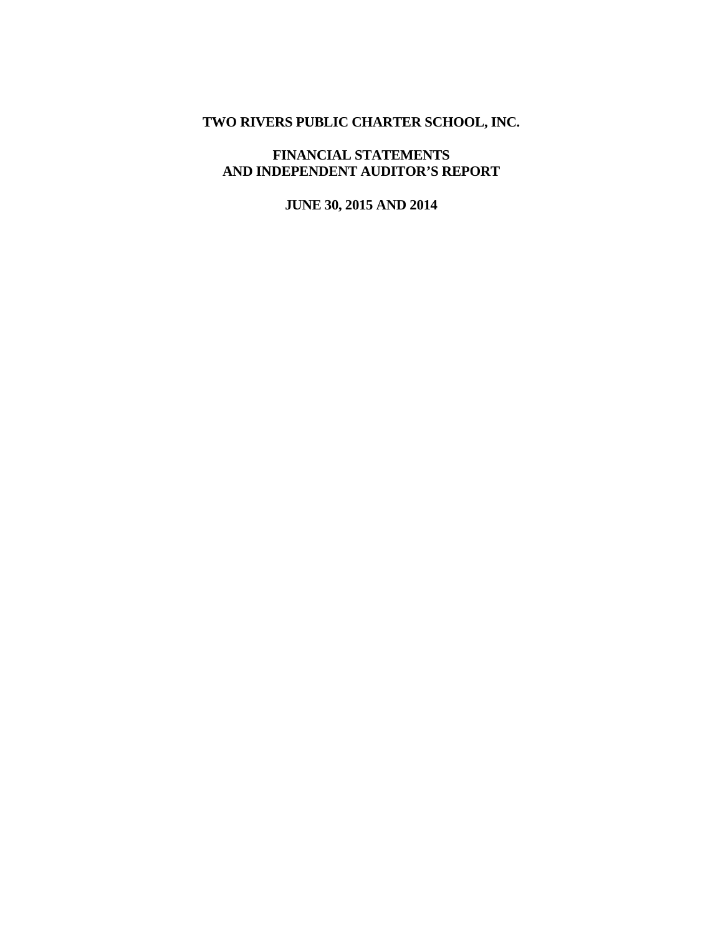## **TWO RIVERS PUBLIC CHARTER SCHOOL, INC.**

## **FINANCIAL STATEMENTS AND INDEPENDENT AUDITOR'S REPORT**

**JUNE 30, 2015 AND 2014**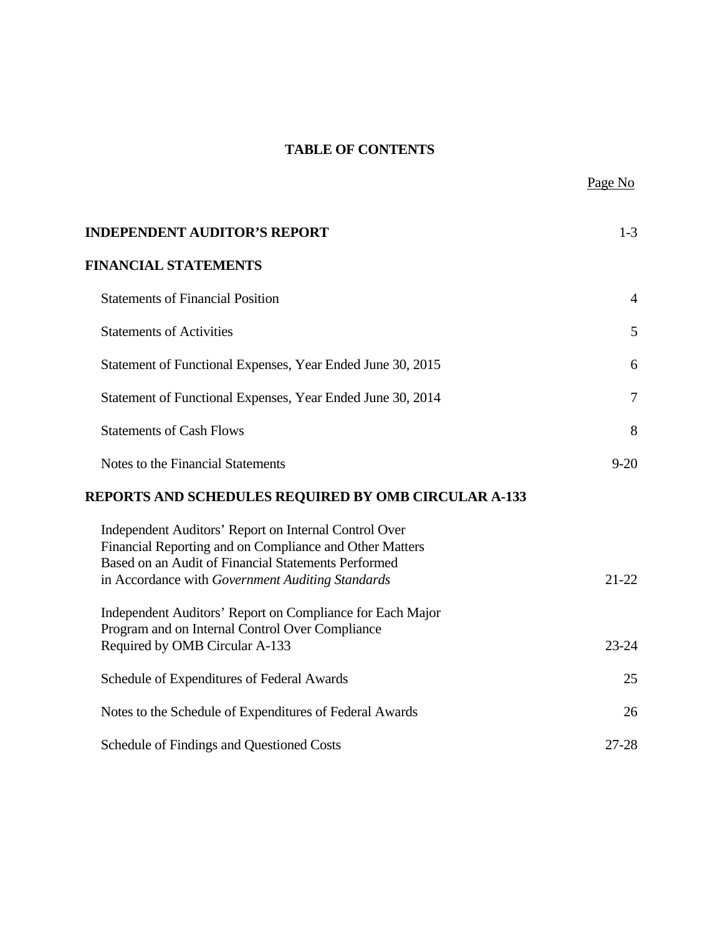# **TABLE OF CONTENTS**

|                                                                                                                                                                                                                             | Page No        |
|-----------------------------------------------------------------------------------------------------------------------------------------------------------------------------------------------------------------------------|----------------|
| <b>INDEPENDENT AUDITOR'S REPORT</b>                                                                                                                                                                                         | $1 - 3$        |
| <b>FINANCIAL STATEMENTS</b>                                                                                                                                                                                                 |                |
| <b>Statements of Financial Position</b>                                                                                                                                                                                     | $\overline{4}$ |
| <b>Statements of Activities</b>                                                                                                                                                                                             | 5              |
| Statement of Functional Expenses, Year Ended June 30, 2015                                                                                                                                                                  | 6              |
| Statement of Functional Expenses, Year Ended June 30, 2014                                                                                                                                                                  | $\tau$         |
| <b>Statements of Cash Flows</b>                                                                                                                                                                                             | 8              |
| Notes to the Financial Statements                                                                                                                                                                                           | $9 - 20$       |
| REPORTS AND SCHEDULES REQUIRED BY OMB CIRCULAR A-133                                                                                                                                                                        |                |
| Independent Auditors' Report on Internal Control Over<br>Financial Reporting and on Compliance and Other Matters<br>Based on an Audit of Financial Statements Performed<br>in Accordance with Government Auditing Standards | $21-22$        |
| Independent Auditors' Report on Compliance for Each Major<br>Program and on Internal Control Over Compliance<br>Required by OMB Circular A-133                                                                              | $23 - 24$      |
| Schedule of Expenditures of Federal Awards                                                                                                                                                                                  | 25             |
| Notes to the Schedule of Expenditures of Federal Awards                                                                                                                                                                     | 26             |
| Schedule of Findings and Questioned Costs                                                                                                                                                                                   | 27-28          |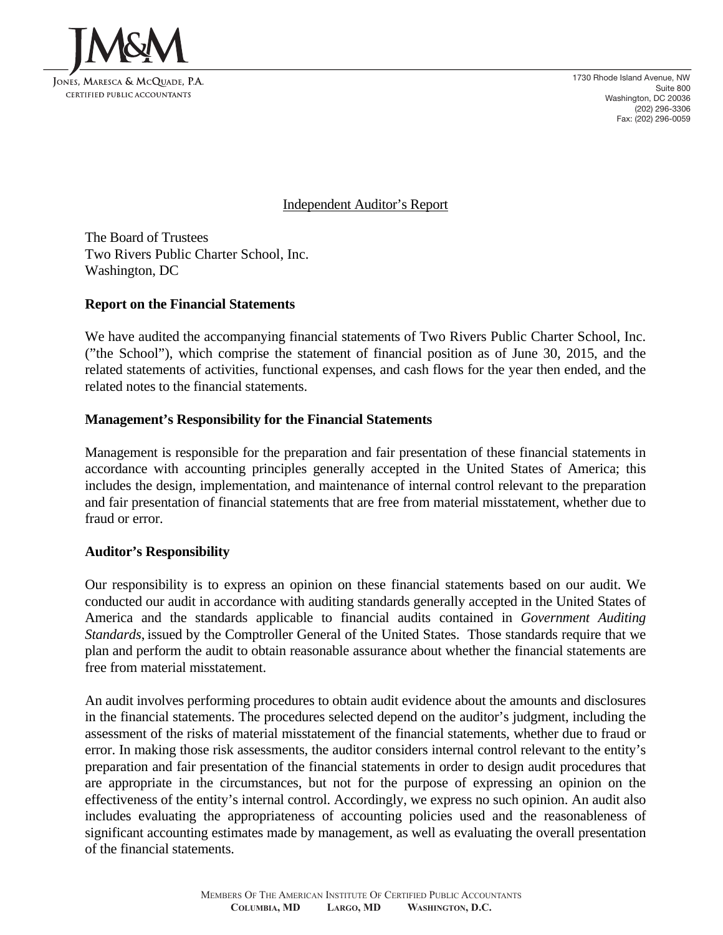

1730 Rhode Island Avenue, NW Suite 800 Washington, DC 20036 (202) 296-3306 Fax: (202) 296-0059

Independent Auditor's Report

The Board of Trustees Two Rivers Public Charter School, Inc. Washington, DC

#### **Report on the Financial Statements**

We have audited the accompanying financial statements of Two Rivers Public Charter School, Inc. ("the School"), which comprise the statement of financial position as of June 30, 2015, and the related statements of activities, functional expenses, and cash flows for the year then ended, and the related notes to the financial statements.

#### **Management's Responsibility for the Financial Statements**

Management is responsible for the preparation and fair presentation of these financial statements in accordance with accounting principles generally accepted in the United States of America; this includes the design, implementation, and maintenance of internal control relevant to the preparation and fair presentation of financial statements that are free from material misstatement, whether due to fraud or error.

#### **Auditor's Responsibility**

Our responsibility is to express an opinion on these financial statements based on our audit. We conducted our audit in accordance with auditing standards generally accepted in the United States of America and the standards applicable to financial audits contained in *Government Auditing Standards*, issued by the Comptroller General of the United States. Those standards require that we plan and perform the audit to obtain reasonable assurance about whether the financial statements are free from material misstatement.

An audit involves performing procedures to obtain audit evidence about the amounts and disclosures in the financial statements. The procedures selected depend on the auditor's judgment, including the assessment of the risks of material misstatement of the financial statements, whether due to fraud or error. In making those risk assessments, the auditor considers internal control relevant to the entity's preparation and fair presentation of the financial statements in order to design audit procedures that are appropriate in the circumstances, but not for the purpose of expressing an opinion on the effectiveness of the entity's internal control. Accordingly, we express no such opinion. An audit also includes evaluating the appropriateness of accounting policies used and the reasonableness of significant accounting estimates made by management, as well as evaluating the overall presentation of the financial statements.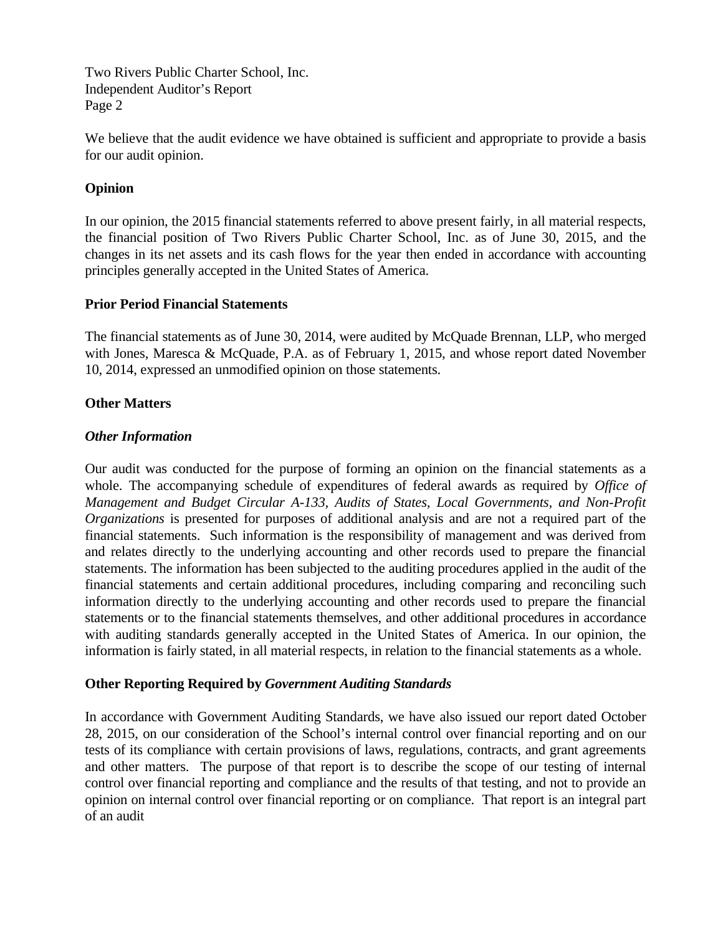Two Rivers Public Charter School, Inc. Independent Auditor's Report Page 2

We believe that the audit evidence we have obtained is sufficient and appropriate to provide a basis for our audit opinion.

### **Opinion**

In our opinion, the 2015 financial statements referred to above present fairly, in all material respects, the financial position of Two Rivers Public Charter School, Inc. as of June 30, 2015, and the changes in its net assets and its cash flows for the year then ended in accordance with accounting principles generally accepted in the United States of America.

#### **Prior Period Financial Statements**

The financial statements as of June 30, 2014, were audited by McQuade Brennan, LLP, who merged with Jones, Maresca & McQuade, P.A. as of February 1, 2015, and whose report dated November 10, 2014, expressed an unmodified opinion on those statements.

#### **Other Matters**

#### *Other Information*

Our audit was conducted for the purpose of forming an opinion on the financial statements as a whole. The accompanying schedule of expenditures of federal awards as required by *Office of Management and Budget Circular A-133, Audits of States, Local Governments, and Non-Profit Organizations* is presented for purposes of additional analysis and are not a required part of the financial statements. Such information is the responsibility of management and was derived from and relates directly to the underlying accounting and other records used to prepare the financial statements. The information has been subjected to the auditing procedures applied in the audit of the financial statements and certain additional procedures, including comparing and reconciling such information directly to the underlying accounting and other records used to prepare the financial statements or to the financial statements themselves, and other additional procedures in accordance with auditing standards generally accepted in the United States of America. In our opinion, the information is fairly stated, in all material respects, in relation to the financial statements as a whole.

#### **Other Reporting Required by** *Government Auditing Standards*

In accordance with Government Auditing Standards, we have also issued our report dated October 28, 2015, on our consideration of the School's internal control over financial reporting and on our tests of its compliance with certain provisions of laws, regulations, contracts, and grant agreements and other matters. The purpose of that report is to describe the scope of our testing of internal control over financial reporting and compliance and the results of that testing, and not to provide an opinion on internal control over financial reporting or on compliance. That report is an integral part of an audit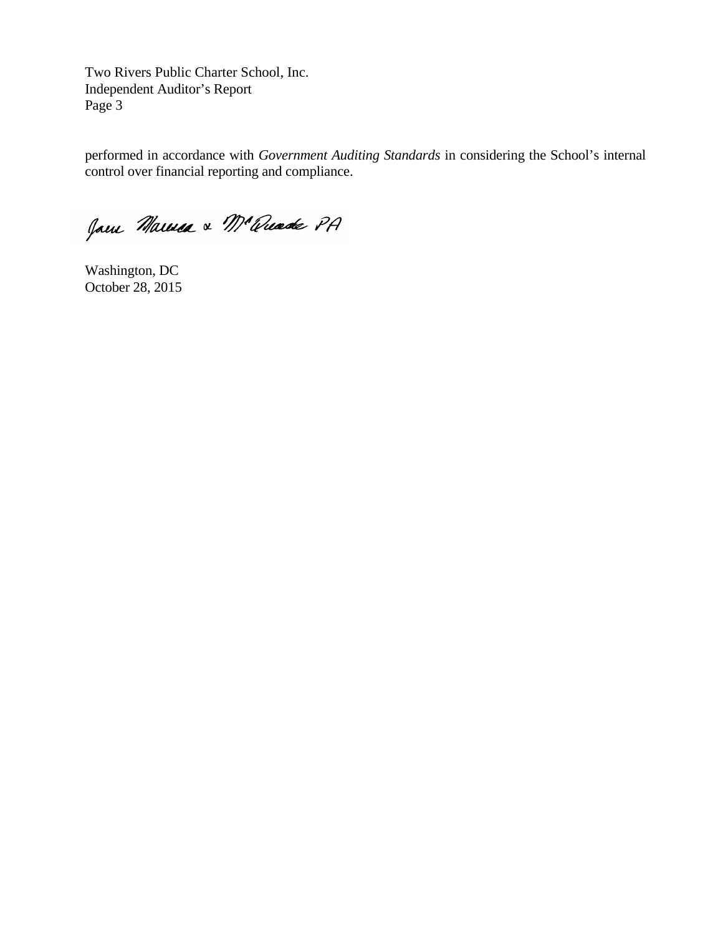Two Rivers Public Charter School, Inc. Independent Auditor's Report Page 3

performed in accordance with *Government Auditing Standards* in considering the School's internal control over financial reporting and compliance.

Jam Marcica & Ma Quade PA

Washington, DC October 28, 2015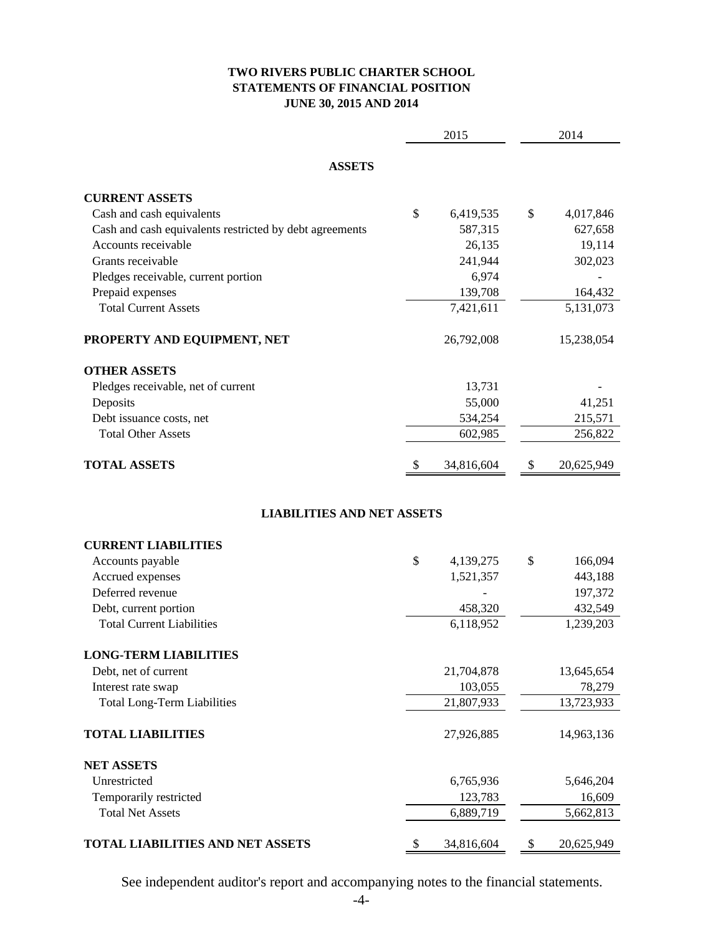### **TWO RIVERS PUBLIC CHARTER SCHOOL STATEMENTS OF FINANCIAL POSITION JUNE 30, 2015 AND 2014**

|                                                         | 2015 |            | 2014 |            |
|---------------------------------------------------------|------|------------|------|------------|
| <b>ASSETS</b>                                           |      |            |      |            |
| <b>CURRENT ASSETS</b>                                   |      |            |      |            |
| Cash and cash equivalents                               | \$   | 6,419,535  | \$   | 4,017,846  |
| Cash and cash equivalents restricted by debt agreements |      | 587,315    |      | 627,658    |
| Accounts receivable                                     |      | 26,135     |      | 19,114     |
| Grants receivable                                       |      | 241,944    |      | 302,023    |
| Pledges receivable, current portion                     |      | 6,974      |      |            |
| Prepaid expenses                                        |      | 139,708    |      | 164,432    |
| <b>Total Current Assets</b>                             |      | 7,421,611  |      | 5,131,073  |
| PROPERTY AND EQUIPMENT, NET                             |      | 26,792,008 |      | 15,238,054 |
| <b>OTHER ASSETS</b>                                     |      |            |      |            |
| Pledges receivable, net of current                      |      | 13,731     |      |            |
| Deposits                                                |      | 55,000     |      | 41,251     |
| Debt issuance costs, net                                |      | 534,254    |      | 215,571    |
| <b>Total Other Assets</b>                               |      | 602,985    |      | 256,822    |
| <b>TOTAL ASSETS</b>                                     |      | 34,816,604 | \$   | 20,625,949 |
| <b>LIABILITIES AND NET ASSETS</b>                       |      |            |      |            |
| <b>CURRENT LIABILITIES</b>                              |      |            |      |            |
| Accounts payable                                        | \$   | 4,139,275  | \$   | 166,094    |
| Accrued expenses                                        |      | 1,521,357  |      | 443,188    |
| Deferred revenue                                        |      |            |      | 197,372    |
| Debt, current portion                                   |      | 458,320    |      | 432,549    |
| <b>Total Current Liabilities</b>                        |      | 6,118,952  |      | 1,239,203  |
| <b>LONG-TERM LIABILITIES</b>                            |      |            |      |            |
| Debt, net of current                                    |      | 21,704,878 |      | 13,645,654 |
| Interest rate swap                                      |      | 103,055    |      | 78,279     |
| <b>Total Long-Term Liabilities</b>                      |      | 21,807,933 |      | 13,723,933 |
| <b>TOTAL LIABILITIES</b>                                |      | 27,926,885 |      | 14,963,136 |
| <b>NET ASSETS</b>                                       |      |            |      |            |
| Unrestricted                                            |      | 6,765,936  |      | 5,646,204  |
| Temporarily restricted                                  |      | 123,783    |      | 16,609     |
| <b>Total Net Assets</b>                                 |      | 6,889,719  |      | 5,662,813  |
| TOTAL LIABILITIES AND NET ASSETS                        | \$   | 34,816,604 | \$   | 20,625,949 |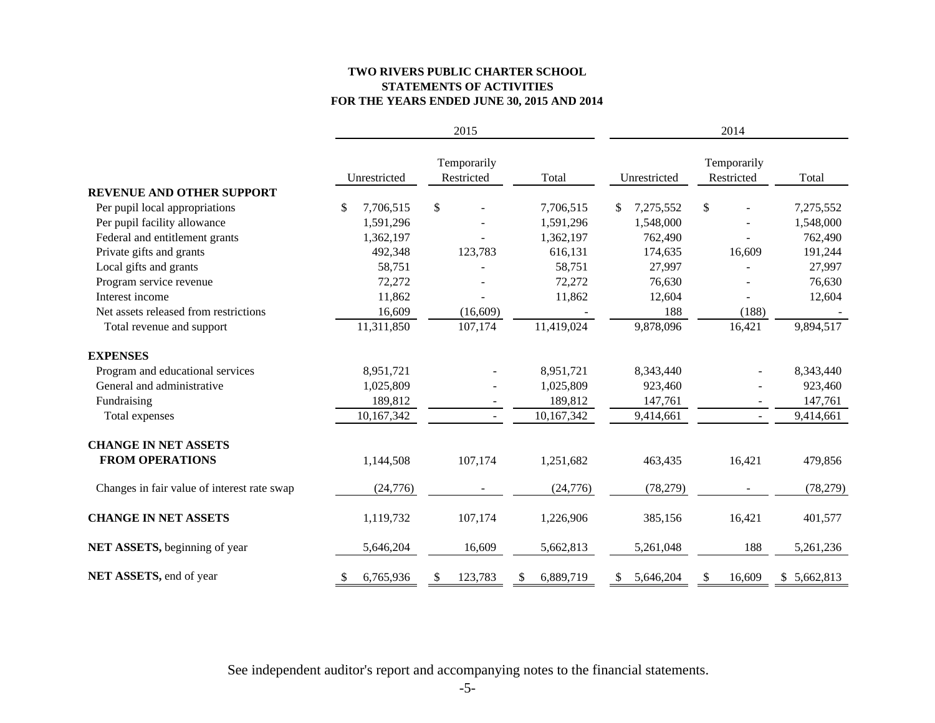#### **TWO RIVERS PUBLIC CHARTER SCHOOL STATEMENTS OF ACTIVITIES FOR THE YEARS ENDED JUNE 30, 2015 AND 2014**

|                                             | 2015             |                           |                 | 2014            |                           |             |  |
|---------------------------------------------|------------------|---------------------------|-----------------|-----------------|---------------------------|-------------|--|
|                                             | Unrestricted     | Temporarily<br>Restricted | Total           | Unrestricted    | Temporarily<br>Restricted | Total       |  |
| <b>REVENUE AND OTHER SUPPORT</b>            |                  |                           |                 |                 |                           |             |  |
| Per pupil local appropriations              | 7,706,515<br>\$. | \$                        | 7,706,515       | 7,275,552<br>S. | \$                        | 7,275,552   |  |
| Per pupil facility allowance                | 1,591,296        |                           | 1,591,296       | 1,548,000       |                           | 1,548,000   |  |
| Federal and entitlement grants              | 1,362,197        |                           | 1,362,197       | 762,490         |                           | 762,490     |  |
| Private gifts and grants                    | 492,348          | 123,783                   | 616,131         | 174,635         | 16,609                    | 191,244     |  |
| Local gifts and grants                      | 58,751           |                           | 58,751          | 27,997          |                           | 27,997      |  |
| Program service revenue                     | 72,272           |                           | 72,272          | 76,630          |                           | 76,630      |  |
| Interest income                             | 11,862           |                           | 11,862          | 12,604          |                           | 12,604      |  |
| Net assets released from restrictions       | 16,609           | (16,609)                  |                 | 188             | (188)                     |             |  |
| Total revenue and support                   | 11,311,850       | 107,174                   | 11,419,024      | 9,878,096       | 16,421                    | 9,894,517   |  |
| <b>EXPENSES</b>                             |                  |                           |                 |                 |                           |             |  |
| Program and educational services            | 8,951,721        |                           | 8,951,721       | 8,343,440       |                           | 8,343,440   |  |
| General and administrative                  | 1,025,809        |                           | 1,025,809       | 923,460         |                           | 923,460     |  |
| Fundraising                                 | 189,812          |                           | 189,812         | 147,761         |                           | 147,761     |  |
| Total expenses                              | 10,167,342       | $\sim$                    | 10,167,342      | 9,414,661       | ÷.                        | 9,414,661   |  |
| <b>CHANGE IN NET ASSETS</b>                 |                  |                           |                 |                 |                           |             |  |
| <b>FROM OPERATIONS</b>                      | 1,144,508        | 107,174                   | 1,251,682       | 463,435         | 16,421                    | 479,856     |  |
| Changes in fair value of interest rate swap | (24, 776)        |                           | (24, 776)       | (78, 279)       |                           | (78, 279)   |  |
| <b>CHANGE IN NET ASSETS</b>                 | 1,119,732        | 107,174                   | 1,226,906       | 385,156         | 16,421                    | 401,577     |  |
| NET ASSETS, beginning of year               | 5,646,204        | 16,609                    | 5,662,813       | 5,261,048       | 188                       | 5,261,236   |  |
| NET ASSETS, end of year                     | \$<br>6,765,936  | 123,783<br>\$             | 6,889,719<br>\$ | 5,646,204<br>\$ | \$<br>16,609              | \$5,662,813 |  |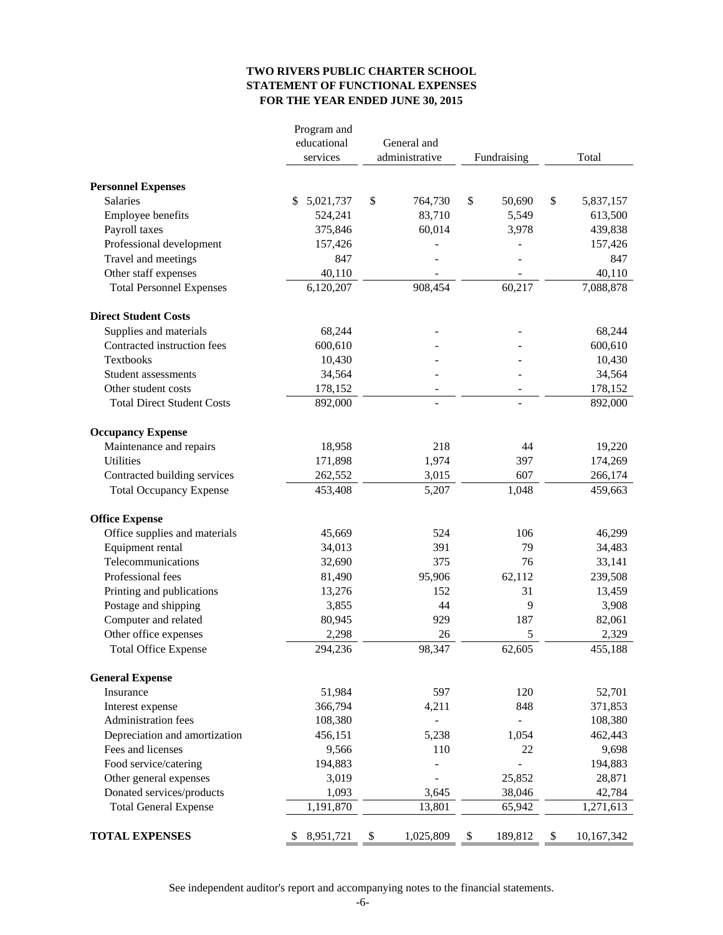#### **FOR THE YEAR ENDED JUNE 30, 2015 TWO RIVERS PUBLIC CHARTER SCHOOL STATEMENT OF FUNCTIONAL EXPENSES**

|                                   | Program and     |                 |                |                  |
|-----------------------------------|-----------------|-----------------|----------------|------------------|
|                                   | educational     | General and     |                |                  |
|                                   | services        | administrative  | Fundraising    | Total            |
| <b>Personnel Expenses</b>         |                 |                 |                |                  |
| <b>Salaries</b>                   | \$<br>5,021,737 | \$<br>764,730   | \$<br>50,690   | \$<br>5,837,157  |
| Employee benefits                 | 524,241         | 83,710          | 5,549          | 613,500          |
| Payroll taxes                     | 375,846         | 60,014          | 3,978          | 439,838          |
| Professional development          | 157,426         |                 |                | 157,426          |
| Travel and meetings               | 847             |                 |                | 847              |
| Other staff expenses              | 40,110          |                 |                | 40,110           |
| <b>Total Personnel Expenses</b>   | 6,120,207       | 908,454         | 60,217         | 7,088,878        |
| <b>Direct Student Costs</b>       |                 |                 |                |                  |
| Supplies and materials            | 68,244          |                 |                | 68,244           |
| Contracted instruction fees       | 600,610         |                 |                | 600,610          |
| Textbooks                         | 10,430          |                 |                | 10,430           |
| <b>Student assessments</b>        | 34,564          |                 |                | 34,564           |
| Other student costs               | 178,152         |                 |                | 178,152          |
| <b>Total Direct Student Costs</b> | 892,000         |                 |                | 892,000          |
| <b>Occupancy Expense</b>          |                 |                 |                |                  |
| Maintenance and repairs           | 18,958          | 218             | 44             | 19,220           |
| Utilities                         | 171,898         | 1,974           | 397            | 174,269          |
| Contracted building services      | 262,552         | 3,015           | 607            | 266,174          |
| <b>Total Occupancy Expense</b>    | 453,408         | 5,207           | 1,048          | 459,663          |
| <b>Office Expense</b>             |                 |                 |                |                  |
| Office supplies and materials     | 45,669          | 524             | 106            | 46,299           |
| Equipment rental                  | 34,013          | 391             | 79             | 34,483           |
| Telecommunications                | 32,690          | 375             | 76             | 33,141           |
| Professional fees                 | 81,490          | 95,906          | 62,112         | 239,508          |
| Printing and publications         | 13,276          | 152             | 31             | 13,459           |
| Postage and shipping              | 3,855           | 44              | 9              | 3,908            |
| Computer and related              | 80,945          | 929             | 187            | 82,061           |
| Other office expenses             | 2,298           | 26              | 5              | 2,329            |
| <b>Total Office Expense</b>       | 294,236         | 98,347          | 62,605         | 455,188          |
| <b>General Expense</b>            |                 |                 |                |                  |
| Insurance                         | 51,984          | 597             | 120            | 52,701           |
| Interest expense                  | 366,794         | 4,211           | 848            | 371,853          |
| Administration fees               | 108,380         | $\blacksquare$  | $\overline{a}$ | 108,380          |
| Depreciation and amortization     | 456,151         | 5,238           | 1,054          | 462,443          |
| Fees and licenses                 | 9,566           | 110             | 22             | 9,698            |
| Food service/catering             | 194,883         |                 |                | 194,883          |
| Other general expenses            | 3,019           |                 | 25,852         | 28,871           |
| Donated services/products         | 1,093           | 3,645           | 38,046         | 42,784           |
| <b>Total General Expense</b>      | 1,191,870       | 13,801          | 65,942         | 1,271,613        |
| <b>TOTAL EXPENSES</b>             | \$ 8,951,721    | \$<br>1,025,809 | \$<br>189,812  | \$<br>10,167,342 |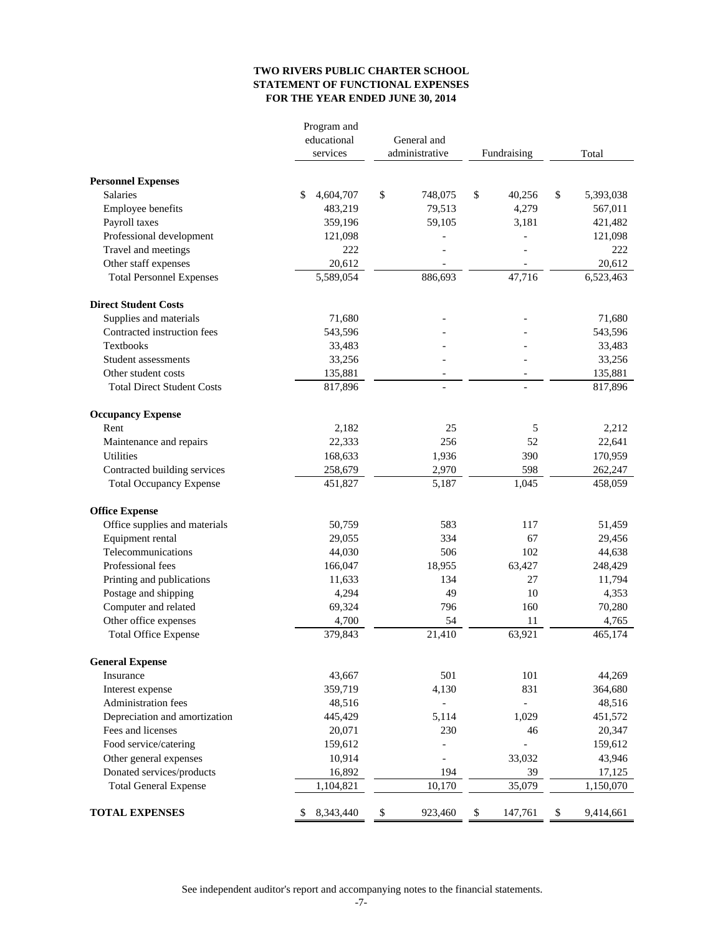#### **FOR THE YEAR ENDED JUNE 30, 2014 TWO RIVERS PUBLIC CHARTER SCHOOL STATEMENT OF FUNCTIONAL EXPENSES**

| administrative<br>Fundraising<br>services<br>Total<br><b>Personnel Expenses</b><br>\$<br><b>Salaries</b><br>\$<br>4,604,707<br>748,075<br>\$<br>40,256<br>\$<br>5,393,038<br>Employee benefits<br>483,219<br>79,513<br>4,279<br>567,011<br>Payroll taxes<br>359,196<br>59,105<br>3,181<br>421,482<br>Professional development<br>121,098<br>121,098<br>Travel and meetings<br>222<br>222<br>Other staff expenses<br>20,612<br>20,612<br><b>Total Personnel Expenses</b><br>5,589,054<br>47,716<br>886,693<br>6,523,463<br><b>Direct Student Costs</b><br>Supplies and materials<br>71,680<br>71,680<br>Contracted instruction fees<br>543,596<br>543,596<br><b>Textbooks</b><br>33,483<br>33,483<br>33,256<br>33,256<br>Student assessments<br>Other student costs<br>135,881<br>135,881<br>$\overline{\phantom{a}}$<br><b>Total Direct Student Costs</b><br>817,896<br>817,896<br><b>Occupancy Expense</b><br>Rent<br>2,182<br>25<br>5<br>2,212<br>256<br>52<br>Maintenance and repairs<br>22,333<br>22,641<br><b>Utilities</b><br>1,936<br>390<br>168,633<br>170,959 |                              | Program and<br>educational | General and |     |         |
|------------------------------------------------------------------------------------------------------------------------------------------------------------------------------------------------------------------------------------------------------------------------------------------------------------------------------------------------------------------------------------------------------------------------------------------------------------------------------------------------------------------------------------------------------------------------------------------------------------------------------------------------------------------------------------------------------------------------------------------------------------------------------------------------------------------------------------------------------------------------------------------------------------------------------------------------------------------------------------------------------------------------------------------------------------------------|------------------------------|----------------------------|-------------|-----|---------|
|                                                                                                                                                                                                                                                                                                                                                                                                                                                                                                                                                                                                                                                                                                                                                                                                                                                                                                                                                                                                                                                                        |                              |                            |             |     |         |
|                                                                                                                                                                                                                                                                                                                                                                                                                                                                                                                                                                                                                                                                                                                                                                                                                                                                                                                                                                                                                                                                        |                              |                            |             |     |         |
|                                                                                                                                                                                                                                                                                                                                                                                                                                                                                                                                                                                                                                                                                                                                                                                                                                                                                                                                                                                                                                                                        |                              |                            |             |     |         |
|                                                                                                                                                                                                                                                                                                                                                                                                                                                                                                                                                                                                                                                                                                                                                                                                                                                                                                                                                                                                                                                                        |                              |                            |             |     |         |
|                                                                                                                                                                                                                                                                                                                                                                                                                                                                                                                                                                                                                                                                                                                                                                                                                                                                                                                                                                                                                                                                        |                              |                            |             |     |         |
|                                                                                                                                                                                                                                                                                                                                                                                                                                                                                                                                                                                                                                                                                                                                                                                                                                                                                                                                                                                                                                                                        |                              |                            |             |     |         |
|                                                                                                                                                                                                                                                                                                                                                                                                                                                                                                                                                                                                                                                                                                                                                                                                                                                                                                                                                                                                                                                                        |                              |                            |             |     |         |
|                                                                                                                                                                                                                                                                                                                                                                                                                                                                                                                                                                                                                                                                                                                                                                                                                                                                                                                                                                                                                                                                        |                              |                            |             |     |         |
|                                                                                                                                                                                                                                                                                                                                                                                                                                                                                                                                                                                                                                                                                                                                                                                                                                                                                                                                                                                                                                                                        |                              |                            |             |     |         |
|                                                                                                                                                                                                                                                                                                                                                                                                                                                                                                                                                                                                                                                                                                                                                                                                                                                                                                                                                                                                                                                                        |                              |                            |             |     |         |
|                                                                                                                                                                                                                                                                                                                                                                                                                                                                                                                                                                                                                                                                                                                                                                                                                                                                                                                                                                                                                                                                        |                              |                            |             |     |         |
|                                                                                                                                                                                                                                                                                                                                                                                                                                                                                                                                                                                                                                                                                                                                                                                                                                                                                                                                                                                                                                                                        |                              |                            |             |     |         |
|                                                                                                                                                                                                                                                                                                                                                                                                                                                                                                                                                                                                                                                                                                                                                                                                                                                                                                                                                                                                                                                                        |                              |                            |             |     |         |
|                                                                                                                                                                                                                                                                                                                                                                                                                                                                                                                                                                                                                                                                                                                                                                                                                                                                                                                                                                                                                                                                        |                              |                            |             |     |         |
|                                                                                                                                                                                                                                                                                                                                                                                                                                                                                                                                                                                                                                                                                                                                                                                                                                                                                                                                                                                                                                                                        |                              |                            |             |     |         |
|                                                                                                                                                                                                                                                                                                                                                                                                                                                                                                                                                                                                                                                                                                                                                                                                                                                                                                                                                                                                                                                                        |                              |                            |             |     |         |
|                                                                                                                                                                                                                                                                                                                                                                                                                                                                                                                                                                                                                                                                                                                                                                                                                                                                                                                                                                                                                                                                        |                              |                            |             |     |         |
|                                                                                                                                                                                                                                                                                                                                                                                                                                                                                                                                                                                                                                                                                                                                                                                                                                                                                                                                                                                                                                                                        |                              |                            |             |     |         |
|                                                                                                                                                                                                                                                                                                                                                                                                                                                                                                                                                                                                                                                                                                                                                                                                                                                                                                                                                                                                                                                                        |                              |                            |             |     |         |
|                                                                                                                                                                                                                                                                                                                                                                                                                                                                                                                                                                                                                                                                                                                                                                                                                                                                                                                                                                                                                                                                        |                              |                            |             |     |         |
|                                                                                                                                                                                                                                                                                                                                                                                                                                                                                                                                                                                                                                                                                                                                                                                                                                                                                                                                                                                                                                                                        |                              |                            |             |     |         |
|                                                                                                                                                                                                                                                                                                                                                                                                                                                                                                                                                                                                                                                                                                                                                                                                                                                                                                                                                                                                                                                                        | Contracted building services | 258,679                    | 2,970       | 598 | 262,247 |
| 5,187<br>1,045<br><b>Total Occupancy Expense</b><br>451,827<br>458,059                                                                                                                                                                                                                                                                                                                                                                                                                                                                                                                                                                                                                                                                                                                                                                                                                                                                                                                                                                                                 |                              |                            |             |     |         |
| <b>Office Expense</b>                                                                                                                                                                                                                                                                                                                                                                                                                                                                                                                                                                                                                                                                                                                                                                                                                                                                                                                                                                                                                                                  |                              |                            |             |     |         |
| Office supplies and materials<br>583<br>50,759<br>117<br>51,459                                                                                                                                                                                                                                                                                                                                                                                                                                                                                                                                                                                                                                                                                                                                                                                                                                                                                                                                                                                                        |                              |                            |             |     |         |
| Equipment rental<br>334<br>29,055<br>67<br>29,456                                                                                                                                                                                                                                                                                                                                                                                                                                                                                                                                                                                                                                                                                                                                                                                                                                                                                                                                                                                                                      |                              |                            |             |     |         |
| Telecommunications<br>506<br>102<br>44,030<br>44,638                                                                                                                                                                                                                                                                                                                                                                                                                                                                                                                                                                                                                                                                                                                                                                                                                                                                                                                                                                                                                   |                              |                            |             |     |         |
| Professional fees<br>248,429<br>166,047<br>18,955<br>63,427                                                                                                                                                                                                                                                                                                                                                                                                                                                                                                                                                                                                                                                                                                                                                                                                                                                                                                                                                                                                            |                              |                            |             |     |         |
| 11,794<br>Printing and publications<br>11,633<br>134<br>27                                                                                                                                                                                                                                                                                                                                                                                                                                                                                                                                                                                                                                                                                                                                                                                                                                                                                                                                                                                                             |                              |                            |             |     |         |
| Postage and shipping<br>4,294<br>49<br>10<br>4,353                                                                                                                                                                                                                                                                                                                                                                                                                                                                                                                                                                                                                                                                                                                                                                                                                                                                                                                                                                                                                     |                              |                            |             |     |         |
| Computer and related<br>69,324<br>796<br>160<br>70,280                                                                                                                                                                                                                                                                                                                                                                                                                                                                                                                                                                                                                                                                                                                                                                                                                                                                                                                                                                                                                 |                              |                            |             |     |         |
| Other office expenses<br>4,700<br>54<br>11<br>4,765                                                                                                                                                                                                                                                                                                                                                                                                                                                                                                                                                                                                                                                                                                                                                                                                                                                                                                                                                                                                                    |                              |                            |             |     |         |
| <b>Total Office Expense</b><br>379,843<br>21,410<br>63,921<br>465,174                                                                                                                                                                                                                                                                                                                                                                                                                                                                                                                                                                                                                                                                                                                                                                                                                                                                                                                                                                                                  |                              |                            |             |     |         |
| <b>General Expense</b>                                                                                                                                                                                                                                                                                                                                                                                                                                                                                                                                                                                                                                                                                                                                                                                                                                                                                                                                                                                                                                                 |                              |                            |             |     |         |
| Insurance<br>501<br>101<br>43,667<br>44,269                                                                                                                                                                                                                                                                                                                                                                                                                                                                                                                                                                                                                                                                                                                                                                                                                                                                                                                                                                                                                            |                              |                            |             |     |         |
| 831<br>Interest expense<br>359,719<br>4,130<br>364,680                                                                                                                                                                                                                                                                                                                                                                                                                                                                                                                                                                                                                                                                                                                                                                                                                                                                                                                                                                                                                 |                              |                            |             |     |         |
| Administration fees<br>48,516<br>48,516<br>$\overline{\phantom{a}}$<br>$\blacksquare$                                                                                                                                                                                                                                                                                                                                                                                                                                                                                                                                                                                                                                                                                                                                                                                                                                                                                                                                                                                  |                              |                            |             |     |         |
| Depreciation and amortization<br>5,114<br>445,429<br>1,029<br>451,572                                                                                                                                                                                                                                                                                                                                                                                                                                                                                                                                                                                                                                                                                                                                                                                                                                                                                                                                                                                                  |                              |                            |             |     |         |
| Fees and licenses<br>230<br>20,071<br>46<br>20,347                                                                                                                                                                                                                                                                                                                                                                                                                                                                                                                                                                                                                                                                                                                                                                                                                                                                                                                                                                                                                     |                              |                            |             |     |         |
| Food service/catering<br>159,612<br>159,612<br>$\overline{\phantom{0}}$                                                                                                                                                                                                                                                                                                                                                                                                                                                                                                                                                                                                                                                                                                                                                                                                                                                                                                                                                                                                |                              |                            |             |     |         |
| 33,032<br>Other general expenses<br>10,914<br>43,946<br>$\blacksquare$                                                                                                                                                                                                                                                                                                                                                                                                                                                                                                                                                                                                                                                                                                                                                                                                                                                                                                                                                                                                 |                              |                            |             |     |         |
| Donated services/products<br>194<br>39<br>16,892<br>17,125                                                                                                                                                                                                                                                                                                                                                                                                                                                                                                                                                                                                                                                                                                                                                                                                                                                                                                                                                                                                             |                              |                            |             |     |         |
| 10,170<br>35,079<br><b>Total General Expense</b><br>1,104,821<br>1,150,070                                                                                                                                                                                                                                                                                                                                                                                                                                                                                                                                                                                                                                                                                                                                                                                                                                                                                                                                                                                             |                              |                            |             |     |         |
| \$<br><b>TOTAL EXPENSES</b><br>8,343,440<br>\$<br>\$<br>\$<br>923,460<br>147,761<br>9,414,661                                                                                                                                                                                                                                                                                                                                                                                                                                                                                                                                                                                                                                                                                                                                                                                                                                                                                                                                                                          |                              |                            |             |     |         |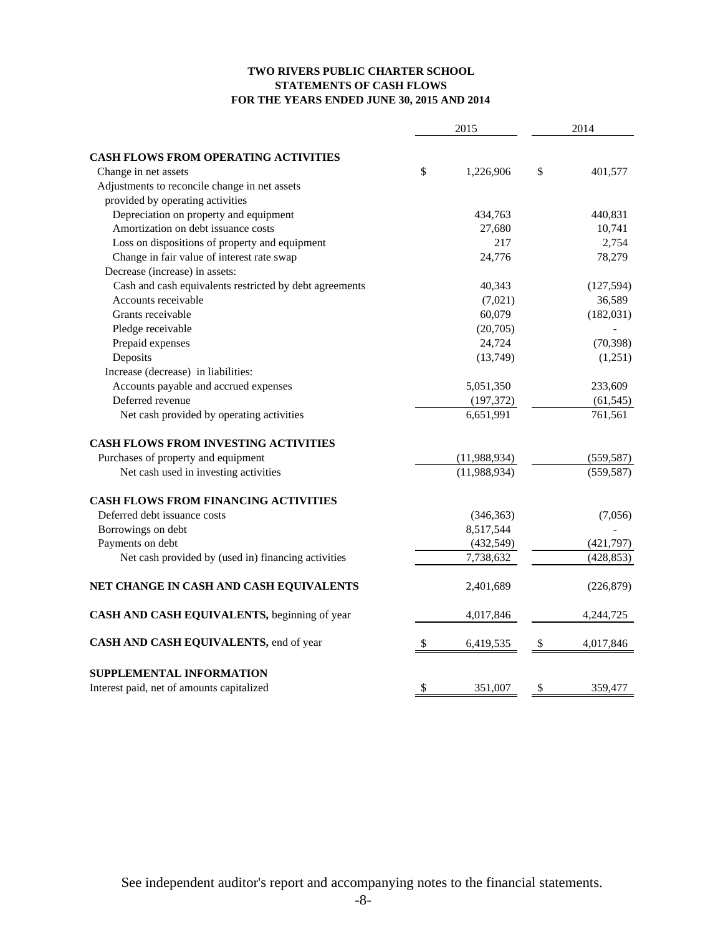#### **TWO RIVERS PUBLIC CHARTER SCHOOL STATEMENTS OF CASH FLOWS FOR THE YEARS ENDED JUNE 30, 2015 AND 2014**

|                                                         |                           | 2015         | 2014                      |            |
|---------------------------------------------------------|---------------------------|--------------|---------------------------|------------|
|                                                         |                           |              |                           |            |
| <b>CASH FLOWS FROM OPERATING ACTIVITIES</b>             |                           |              |                           |            |
| Change in net assets                                    | \$                        | 1,226,906    | \$                        | 401,577    |
| Adjustments to reconcile change in net assets           |                           |              |                           |            |
| provided by operating activities                        |                           |              |                           |            |
| Depreciation on property and equipment                  |                           | 434,763      |                           | 440,831    |
| Amortization on debt issuance costs                     |                           | 27,680       |                           | 10,741     |
| Loss on dispositions of property and equipment          |                           | 217          |                           | 2,754      |
| Change in fair value of interest rate swap              |                           | 24,776       |                           | 78,279     |
| Decrease (increase) in assets:                          |                           |              |                           |            |
| Cash and cash equivalents restricted by debt agreements |                           | 40,343       |                           | (127, 594) |
| Accounts receivable                                     |                           | (7,021)      |                           | 36,589     |
| Grants receivable                                       |                           | 60,079       |                           | (182, 031) |
| Pledge receivable                                       |                           | (20,705)     |                           |            |
| Prepaid expenses                                        |                           | 24,724       |                           | (70, 398)  |
| Deposits                                                |                           | (13,749)     |                           | (1,251)    |
| Increase (decrease) in liabilities:                     |                           |              |                           |            |
| Accounts payable and accrued expenses                   |                           | 5,051,350    |                           | 233,609    |
| Deferred revenue                                        |                           | (197, 372)   |                           | (61, 545)  |
| Net cash provided by operating activities               |                           | 6,651,991    |                           | 761,561    |
| <b>CASH FLOWS FROM INVESTING ACTIVITIES</b>             |                           |              |                           |            |
| Purchases of property and equipment                     |                           | (11,988,934) |                           | (559, 587) |
| Net cash used in investing activities                   |                           | (11,988,934) |                           | (559, 587) |
| <b>CASH FLOWS FROM FINANCING ACTIVITIES</b>             |                           |              |                           |            |
| Deferred debt issuance costs                            |                           | (346, 363)   |                           | (7,056)    |
| Borrowings on debt                                      |                           | 8,517,544    |                           |            |
| Payments on debt                                        |                           | (432, 549)   |                           | (421,797)  |
| Net cash provided by (used in) financing activities     |                           | 7,738,632    |                           | (428, 853) |
| NET CHANGE IN CASH AND CASH EQUIVALENTS                 |                           | 2,401,689    |                           | (226, 879) |
| CASH AND CASH EQUIVALENTS, beginning of year            |                           | 4,017,846    |                           | 4,244,725  |
| CASH AND CASH EQUIVALENTS, end of year                  | $\boldsymbol{\mathsf{S}}$ | 6,419,535    | $\boldsymbol{\mathsf{S}}$ | 4,017,846  |
| SUPPLEMENTAL INFORMATION                                |                           |              |                           |            |
| Interest paid, net of amounts capitalized               | \$                        | 351,007      | \$                        | 359,477    |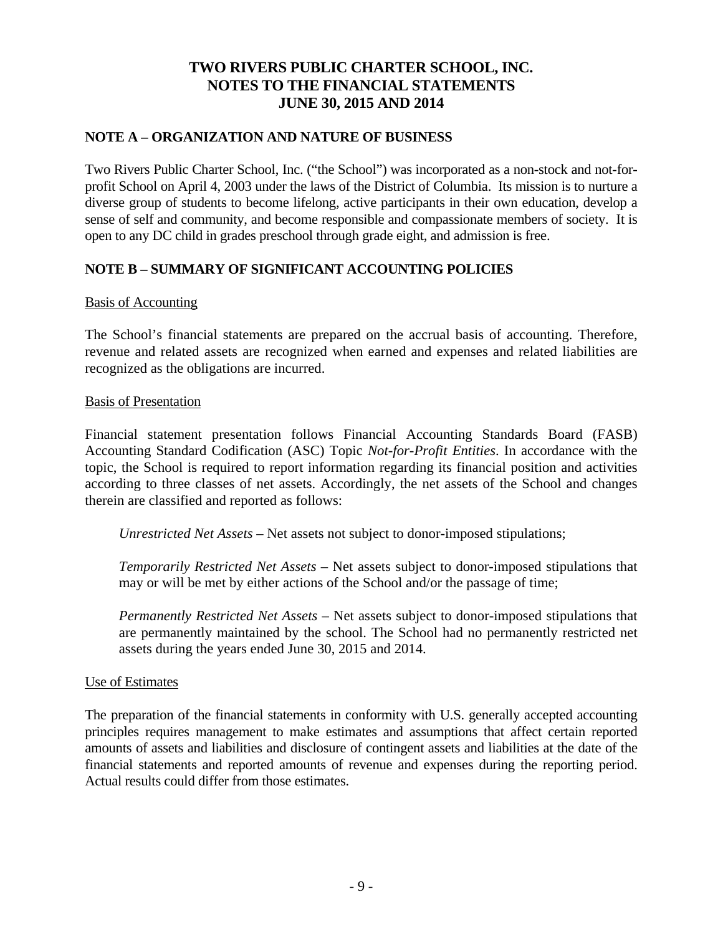## **NOTE A – ORGANIZATION AND NATURE OF BUSINESS**

Two Rivers Public Charter School, Inc. ("the School") was incorporated as a non-stock and not-forprofit School on April 4, 2003 under the laws of the District of Columbia. Its mission is to nurture a diverse group of students to become lifelong, active participants in their own education, develop a sense of self and community, and become responsible and compassionate members of society. It is open to any DC child in grades preschool through grade eight, and admission is free.

## **NOTE B – SUMMARY OF SIGNIFICANT ACCOUNTING POLICIES**

### Basis of Accounting

The School's financial statements are prepared on the accrual basis of accounting. Therefore, revenue and related assets are recognized when earned and expenses and related liabilities are recognized as the obligations are incurred.

#### Basis of Presentation

Financial statement presentation follows Financial Accounting Standards Board (FASB) Accounting Standard Codification (ASC) Topic *Not-for-Profit Entities*. In accordance with the topic, the School is required to report information regarding its financial position and activities according to three classes of net assets. Accordingly, the net assets of the School and changes therein are classified and reported as follows:

*Unrestricted Net Assets* – Net assets not subject to donor-imposed stipulations;

*Temporarily Restricted Net Assets* – Net assets subject to donor-imposed stipulations that may or will be met by either actions of the School and/or the passage of time;

*Permanently Restricted Net Assets* – Net assets subject to donor-imposed stipulations that are permanently maintained by the school. The School had no permanently restricted net assets during the years ended June 30, 2015 and 2014.

#### Use of Estimates

The preparation of the financial statements in conformity with U.S. generally accepted accounting principles requires management to make estimates and assumptions that affect certain reported amounts of assets and liabilities and disclosure of contingent assets and liabilities at the date of the financial statements and reported amounts of revenue and expenses during the reporting period. Actual results could differ from those estimates.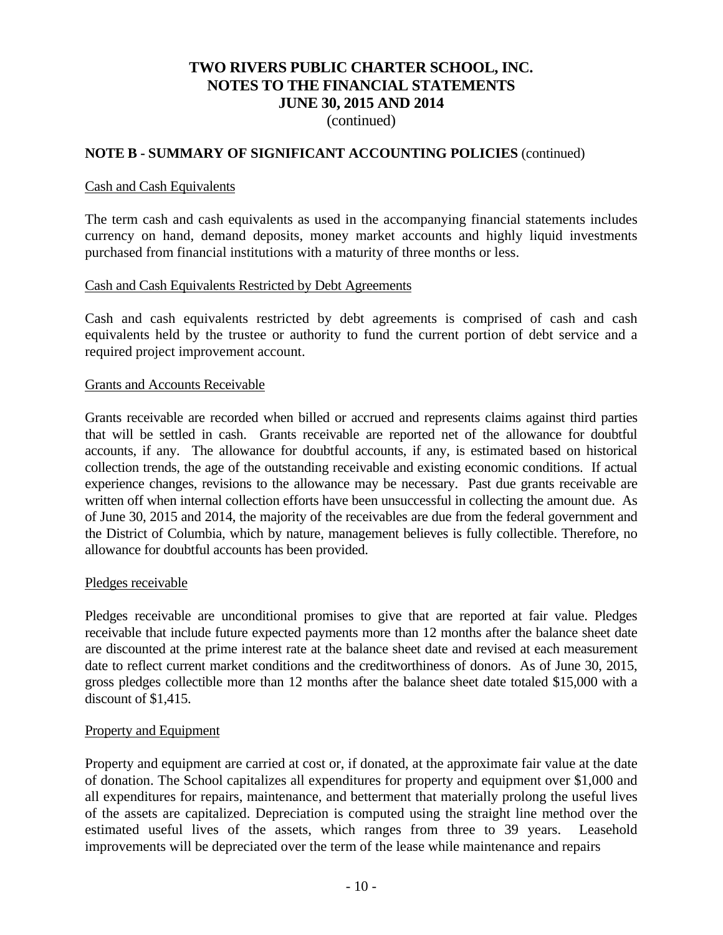(continued)

## **NOTE B - SUMMARY OF SIGNIFICANT ACCOUNTING POLICIES** (continued)

#### Cash and Cash Equivalents

The term cash and cash equivalents as used in the accompanying financial statements includes currency on hand, demand deposits, money market accounts and highly liquid investments purchased from financial institutions with a maturity of three months or less.

#### Cash and Cash Equivalents Restricted by Debt Agreements

Cash and cash equivalents restricted by debt agreements is comprised of cash and cash equivalents held by the trustee or authority to fund the current portion of debt service and a required project improvement account.

#### Grants and Accounts Receivable

Grants receivable are recorded when billed or accrued and represents claims against third parties that will be settled in cash. Grants receivable are reported net of the allowance for doubtful accounts, if any. The allowance for doubtful accounts, if any, is estimated based on historical collection trends, the age of the outstanding receivable and existing economic conditions. If actual experience changes, revisions to the allowance may be necessary. Past due grants receivable are written off when internal collection efforts have been unsuccessful in collecting the amount due. As of June 30, 2015 and 2014, the majority of the receivables are due from the federal government and the District of Columbia, which by nature, management believes is fully collectible. Therefore, no allowance for doubtful accounts has been provided.

#### Pledges receivable

Pledges receivable are unconditional promises to give that are reported at fair value. Pledges receivable that include future expected payments more than 12 months after the balance sheet date are discounted at the prime interest rate at the balance sheet date and revised at each measurement date to reflect current market conditions and the creditworthiness of donors. As of June 30, 2015, gross pledges collectible more than 12 months after the balance sheet date totaled \$15,000 with a discount of \$1,415.

#### Property and Equipment

Property and equipment are carried at cost or, if donated, at the approximate fair value at the date of donation. The School capitalizes all expenditures for property and equipment over \$1,000 and all expenditures for repairs, maintenance, and betterment that materially prolong the useful lives of the assets are capitalized. Depreciation is computed using the straight line method over the estimated useful lives of the assets, which ranges from three to 39 years. Leasehold improvements will be depreciated over the term of the lease while maintenance and repairs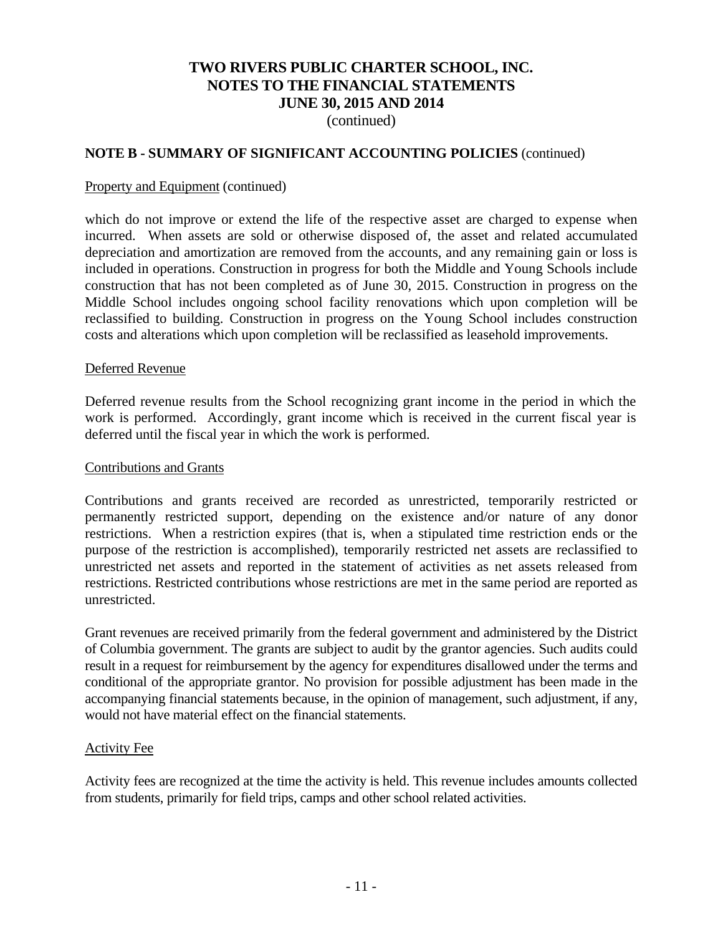(continued)

### **NOTE B - SUMMARY OF SIGNIFICANT ACCOUNTING POLICIES** (continued)

#### Property and Equipment (continued)

which do not improve or extend the life of the respective asset are charged to expense when incurred. When assets are sold or otherwise disposed of, the asset and related accumulated depreciation and amortization are removed from the accounts, and any remaining gain or loss is included in operations. Construction in progress for both the Middle and Young Schools include construction that has not been completed as of June 30, 2015. Construction in progress on the Middle School includes ongoing school facility renovations which upon completion will be reclassified to building. Construction in progress on the Young School includes construction costs and alterations which upon completion will be reclassified as leasehold improvements.

#### Deferred Revenue

Deferred revenue results from the School recognizing grant income in the period in which the work is performed. Accordingly, grant income which is received in the current fiscal year is deferred until the fiscal year in which the work is performed.

#### Contributions and Grants

Contributions and grants received are recorded as unrestricted, temporarily restricted or permanently restricted support, depending on the existence and/or nature of any donor restrictions. When a restriction expires (that is, when a stipulated time restriction ends or the purpose of the restriction is accomplished), temporarily restricted net assets are reclassified to unrestricted net assets and reported in the statement of activities as net assets released from restrictions. Restricted contributions whose restrictions are met in the same period are reported as unrestricted.

Grant revenues are received primarily from the federal government and administered by the District of Columbia government. The grants are subject to audit by the grantor agencies. Such audits could result in a request for reimbursement by the agency for expenditures disallowed under the terms and conditional of the appropriate grantor. No provision for possible adjustment has been made in the accompanying financial statements because, in the opinion of management, such adjustment, if any, would not have material effect on the financial statements.

#### Activity Fee

Activity fees are recognized at the time the activity is held. This revenue includes amounts collected from students, primarily for field trips, camps and other school related activities.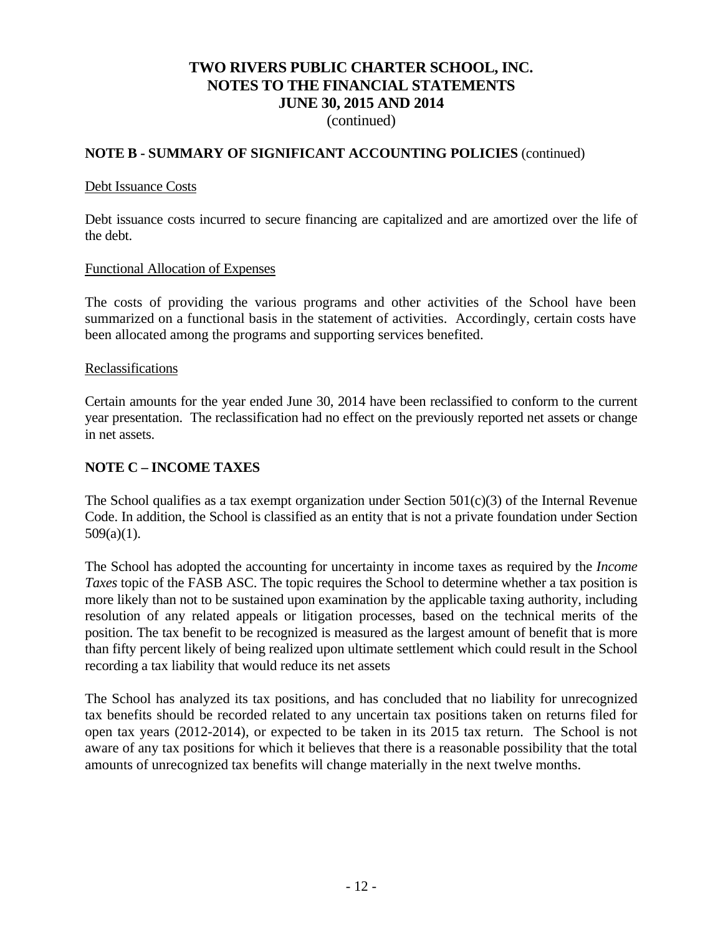(continued)

### **NOTE B - SUMMARY OF SIGNIFICANT ACCOUNTING POLICIES** (continued)

#### Debt Issuance Costs

Debt issuance costs incurred to secure financing are capitalized and are amortized over the life of the debt.

#### Functional Allocation of Expenses

The costs of providing the various programs and other activities of the School have been summarized on a functional basis in the statement of activities. Accordingly, certain costs have been allocated among the programs and supporting services benefited.

#### **Reclassifications**

Certain amounts for the year ended June 30, 2014 have been reclassified to conform to the current year presentation. The reclassification had no effect on the previously reported net assets or change in net assets.

### **NOTE C – INCOME TAXES**

The School qualifies as a tax exempt organization under Section  $501(c)(3)$  of the Internal Revenue Code. In addition, the School is classified as an entity that is not a private foundation under Section  $509(a)(1)$ .

The School has adopted the accounting for uncertainty in income taxes as required by the *Income Taxes* topic of the FASB ASC. The topic requires the School to determine whether a tax position is more likely than not to be sustained upon examination by the applicable taxing authority, including resolution of any related appeals or litigation processes, based on the technical merits of the position. The tax benefit to be recognized is measured as the largest amount of benefit that is more than fifty percent likely of being realized upon ultimate settlement which could result in the School recording a tax liability that would reduce its net assets

The School has analyzed its tax positions, and has concluded that no liability for unrecognized tax benefits should be recorded related to any uncertain tax positions taken on returns filed for open tax years (2012-2014), or expected to be taken in its 2015 tax return. The School is not aware of any tax positions for which it believes that there is a reasonable possibility that the total amounts of unrecognized tax benefits will change materially in the next twelve months.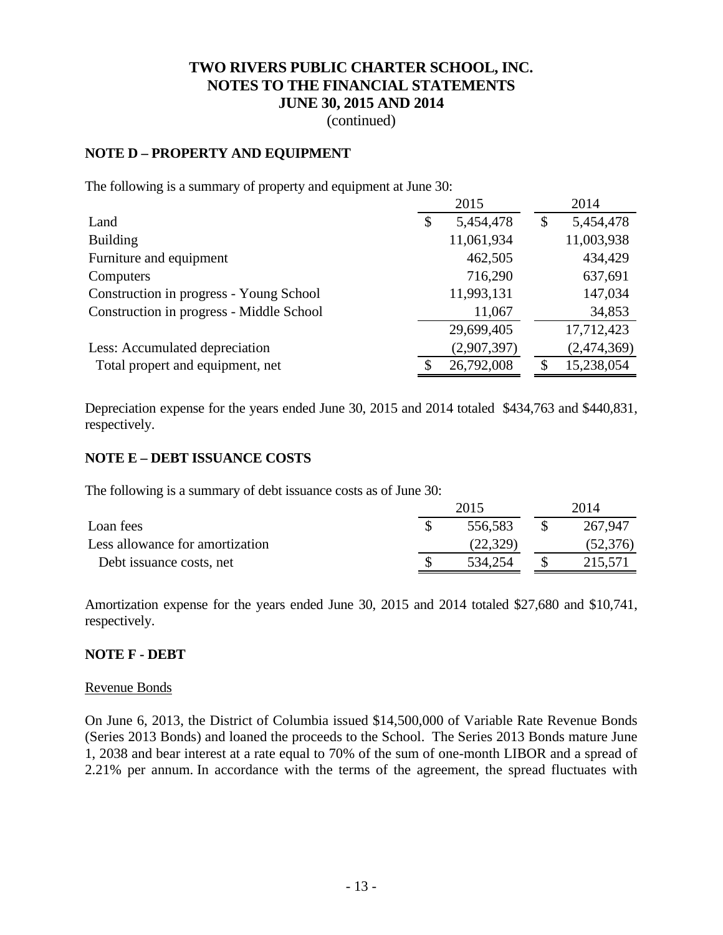(continued)

### **NOTE D – PROPERTY AND EQUIPMENT**

The following is a summary of property and equipment at June 30:

|                                          | 2015            | 2014            |
|------------------------------------------|-----------------|-----------------|
| Land                                     | 5,454,478<br>\$ | 5,454,478<br>\$ |
| <b>Building</b>                          | 11,061,934      | 11,003,938      |
| Furniture and equipment                  | 462,505         | 434,429         |
| Computers                                | 716,290         | 637,691         |
| Construction in progress - Young School  | 11,993,131      | 147,034         |
| Construction in progress - Middle School | 11,067          | 34,853          |
|                                          | 29,699,405      | 17,712,423      |
| Less: Accumulated depreciation           | (2,907,397)     | (2,474,369)     |
| Total propert and equipment, net         | 26,792,008      | 15,238,054      |

Depreciation expense for the years ended June 30, 2015 and 2014 totaled \$434,763 and \$440,831, respectively.

### **NOTE E – DEBT ISSUANCE COSTS**

The following is a summary of debt issuance costs as of June 30:

|                                 | 2015     |           |
|---------------------------------|----------|-----------|
| Loan fees                       | 556,583  | 267,947   |
| Less allowance for amortization | (22,329) | (52, 376) |
| Debt issuance costs, net        | 534,254  | 215,571   |

Amortization expense for the years ended June 30, 2015 and 2014 totaled \$27,680 and \$10,741, respectively.

#### **NOTE F - DEBT**

#### Revenue Bonds

On June 6, 2013, the District of Columbia issued \$14,500,000 of Variable Rate Revenue Bonds (Series 2013 Bonds) and loaned the proceeds to the School. The Series 2013 Bonds mature June 1, 2038 and bear interest at a rate equal to 70% of the sum of one-month LIBOR and a spread of 2.21% per annum. In accordance with the terms of the agreement, the spread fluctuates with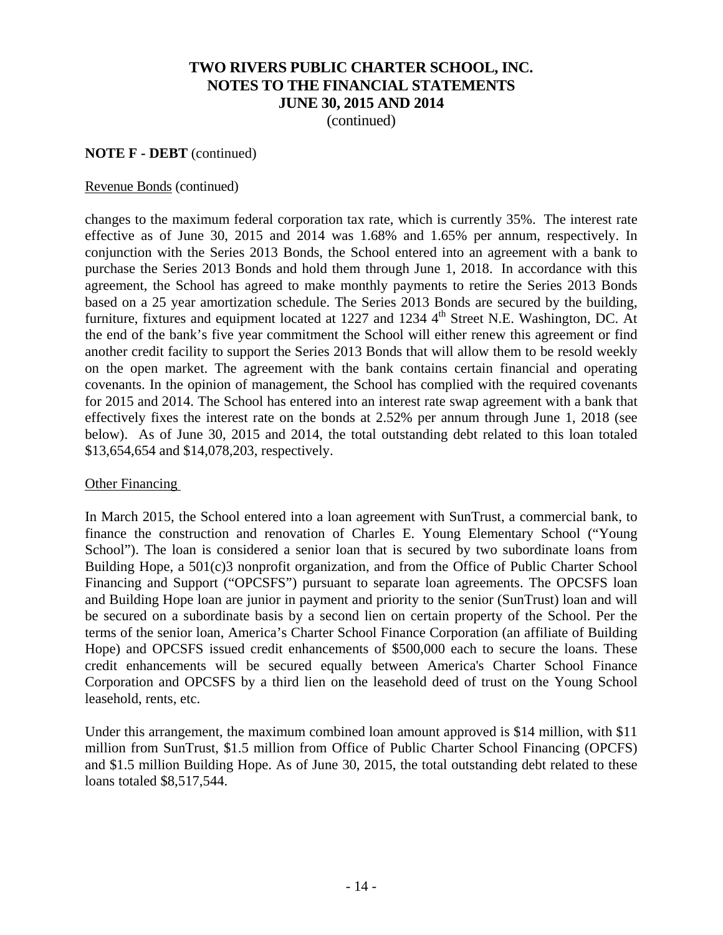(continued)

#### **NOTE F - DEBT** (continued)

#### Revenue Bonds (continued)

changes to the maximum federal corporation tax rate, which is currently 35%. The interest rate effective as of June 30, 2015 and 2014 was 1.68% and 1.65% per annum, respectively. In conjunction with the Series 2013 Bonds, the School entered into an agreement with a bank to purchase the Series 2013 Bonds and hold them through June 1, 2018. In accordance with this agreement, the School has agreed to make monthly payments to retire the Series 2013 Bonds based on a 25 year amortization schedule. The Series 2013 Bonds are secured by the building, furniture, fixtures and equipment located at 1227 and 1234  $4<sup>th</sup>$  Street N.E. Washington, DC. At the end of the bank's five year commitment the School will either renew this agreement or find another credit facility to support the Series 2013 Bonds that will allow them to be resold weekly on the open market. The agreement with the bank contains certain financial and operating covenants. In the opinion of management, the School has complied with the required covenants for 2015 and 2014. The School has entered into an interest rate swap agreement with a bank that effectively fixes the interest rate on the bonds at 2.52% per annum through June 1, 2018 (see below). As of June 30, 2015 and 2014, the total outstanding debt related to this loan totaled \$13,654,654 and \$14,078,203, respectively.

#### **Other Financing**

In March 2015, the School entered into a loan agreement with SunTrust, a commercial bank, to finance the construction and renovation of Charles E. Young Elementary School ("Young School"). The loan is considered a senior loan that is secured by two subordinate loans from Building Hope, a 501(c)3 nonprofit organization, and from the Office of Public Charter School Financing and Support ("OPCSFS") pursuant to separate loan agreements. The OPCSFS loan and Building Hope loan are junior in payment and priority to the senior (SunTrust) loan and will be secured on a subordinate basis by a second lien on certain property of the School. Per the terms of the senior loan, America's Charter School Finance Corporation (an affiliate of Building Hope) and OPCSFS issued credit enhancements of \$500,000 each to secure the loans. These credit enhancements will be secured equally between America's Charter School Finance Corporation and OPCSFS by a third lien on the leasehold deed of trust on the Young School leasehold, rents, etc.

Under this arrangement, the maximum combined loan amount approved is \$14 million, with \$11 million from SunTrust, \$1.5 million from Office of Public Charter School Financing (OPCFS) and \$1.5 million Building Hope. As of June 30, 2015, the total outstanding debt related to these loans totaled \$8,517,544.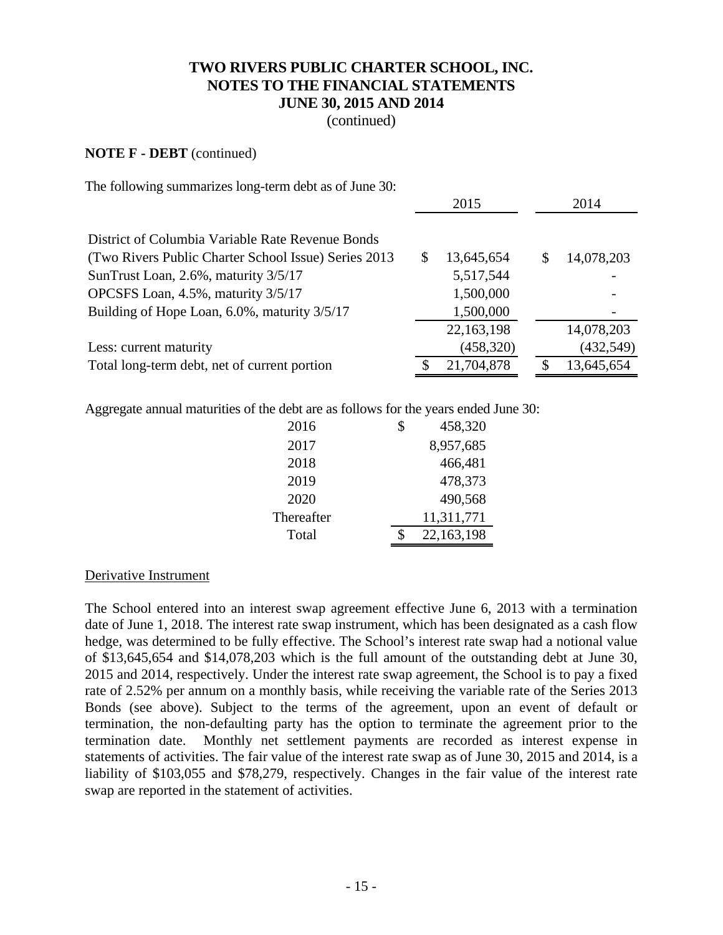(continued)

#### **NOTE F - DEBT** (continued)

| The following summarizes long-term debt as of June 30: |     |            |   |            |
|--------------------------------------------------------|-----|------------|---|------------|
|                                                        |     | 2015       |   | 2014       |
| District of Columbia Variable Rate Revenue Bonds       |     |            |   |            |
|                                                        |     |            |   |            |
| (Two Rivers Public Charter School Issue) Series 2013   | \$. | 13,645,654 | S | 14,078,203 |
| SunTrust Loan, 2.6%, maturity 3/5/17                   |     | 5,517,544  |   |            |
| OPCSFS Loan, 4.5%, maturity 3/5/17                     |     | 1,500,000  |   |            |
| Building of Hope Loan, 6.0%, maturity 3/5/17           |     | 1,500,000  |   |            |
|                                                        |     | 22,163,198 |   | 14,078,203 |
| Less: current maturity                                 |     | (458, 320) |   | (432, 549) |
| Total long-term debt, net of current portion           |     | 21,704,878 |   | 13,645,654 |
|                                                        |     |            |   |            |

Aggregate annual maturities of the debt are as follows for the years ended June 30:

| 2016       | \$<br>458,320    |
|------------|------------------|
| 2017       | 8,957,685        |
| 2018       | 466,481          |
| 2019       | 478,373          |
| 2020       | 490,568          |
| Thereafter | 11,311,771       |
| Total      | 22,163,198<br>\$ |

## Derivative Instrument

The School entered into an interest swap agreement effective June 6, 2013 with a termination date of June 1, 2018. The interest rate swap instrument, which has been designated as a cash flow hedge, was determined to be fully effective. The School's interest rate swap had a notional value of \$13,645,654 and \$14,078,203 which is the full amount of the outstanding debt at June 30, 2015 and 2014, respectively. Under the interest rate swap agreement, the School is to pay a fixed rate of 2.52% per annum on a monthly basis, while receiving the variable rate of the Series 2013 Bonds (see above). Subject to the terms of the agreement, upon an event of default or termination, the non-defaulting party has the option to terminate the agreement prior to the termination date. Monthly net settlement payments are recorded as interest expense in statements of activities. The fair value of the interest rate swap as of June 30, 2015 and 2014, is a liability of \$103,055 and \$78,279, respectively. Changes in the fair value of the interest rate swap are reported in the statement of activities.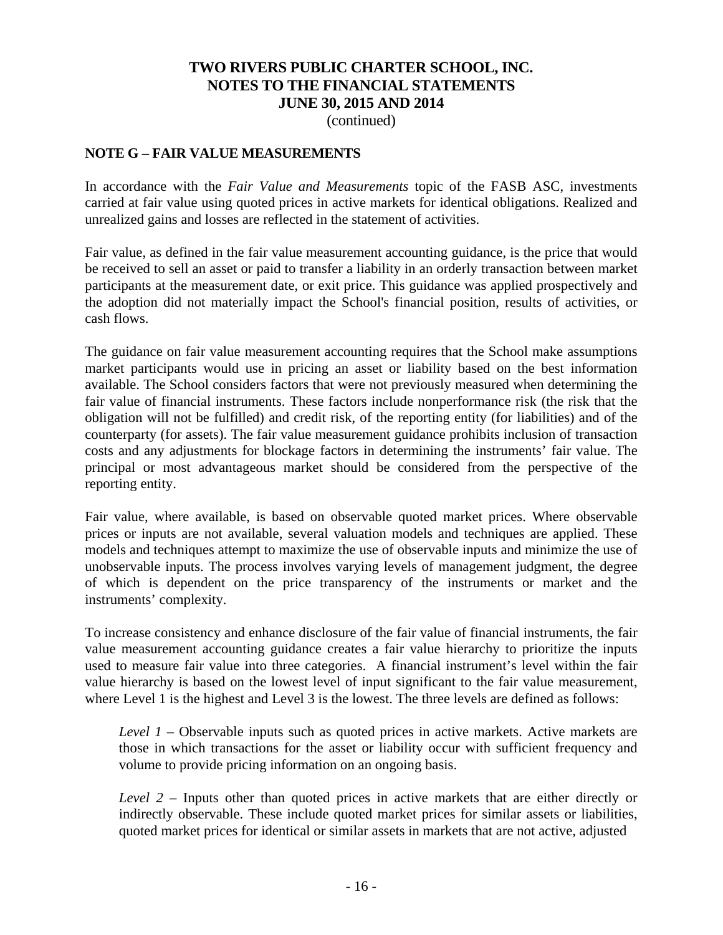(continued)

### **NOTE G – FAIR VALUE MEASUREMENTS**

In accordance with the *Fair Value and Measurements* topic of the FASB ASC, investments carried at fair value using quoted prices in active markets for identical obligations. Realized and unrealized gains and losses are reflected in the statement of activities.

Fair value, as defined in the fair value measurement accounting guidance, is the price that would be received to sell an asset or paid to transfer a liability in an orderly transaction between market participants at the measurement date, or exit price. This guidance was applied prospectively and the adoption did not materially impact the School's financial position, results of activities, or cash flows.

The guidance on fair value measurement accounting requires that the School make assumptions market participants would use in pricing an asset or liability based on the best information available. The School considers factors that were not previously measured when determining the fair value of financial instruments. These factors include nonperformance risk (the risk that the obligation will not be fulfilled) and credit risk, of the reporting entity (for liabilities) and of the counterparty (for assets). The fair value measurement guidance prohibits inclusion of transaction costs and any adjustments for blockage factors in determining the instruments' fair value. The principal or most advantageous market should be considered from the perspective of the reporting entity.

Fair value, where available, is based on observable quoted market prices. Where observable prices or inputs are not available, several valuation models and techniques are applied. These models and techniques attempt to maximize the use of observable inputs and minimize the use of unobservable inputs. The process involves varying levels of management judgment, the degree of which is dependent on the price transparency of the instruments or market and the instruments' complexity.

To increase consistency and enhance disclosure of the fair value of financial instruments, the fair value measurement accounting guidance creates a fair value hierarchy to prioritize the inputs used to measure fair value into three categories. A financial instrument's level within the fair value hierarchy is based on the lowest level of input significant to the fair value measurement, where Level 1 is the highest and Level 3 is the lowest. The three levels are defined as follows:

*Level 1* – Observable inputs such as quoted prices in active markets. Active markets are those in which transactions for the asset or liability occur with sufficient frequency and volume to provide pricing information on an ongoing basis.

*Level 2* – Inputs other than quoted prices in active markets that are either directly or indirectly observable. These include quoted market prices for similar assets or liabilities, quoted market prices for identical or similar assets in markets that are not active, adjusted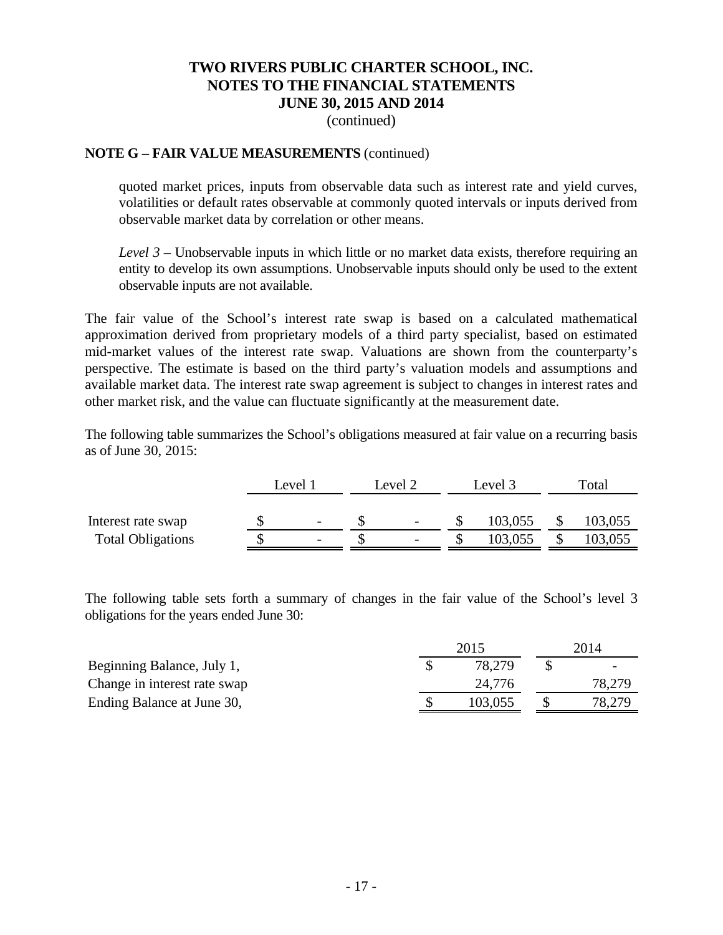(continued)

#### **NOTE G – FAIR VALUE MEASUREMENTS** (continued)

quoted market prices, inputs from observable data such as interest rate and yield curves, volatilities or default rates observable at commonly quoted intervals or inputs derived from observable market data by correlation or other means.

*Level 3* – Unobservable inputs in which little or no market data exists, therefore requiring an entity to develop its own assumptions. Unobservable inputs should only be used to the extent observable inputs are not available.

The fair value of the School's interest rate swap is based on a calculated mathematical approximation derived from proprietary models of a third party specialist, based on estimated mid-market values of the interest rate swap. Valuations are shown from the counterparty's perspective. The estimate is based on the third party's valuation models and assumptions and available market data. The interest rate swap agreement is subject to changes in interest rates and other market risk, and the value can fluctuate significantly at the measurement date.

The following table summarizes the School's obligations measured at fair value on a recurring basis as of June 30, 2015:

|                          | Level 1                  | Level 2                  | Level 3 |   | Total   |
|--------------------------|--------------------------|--------------------------|---------|---|---------|
|                          |                          |                          |         |   |         |
| Interest rate swap       | $\overline{\phantom{a}}$ | $\overline{\phantom{a}}$ | 103,055 | Φ | 103,055 |
| <b>Total Obligations</b> | $\overline{\phantom{0}}$ | $\overline{\phantom{0}}$ | 103,055 |   | 103,055 |

The following table sets forth a summary of changes in the fair value of the School's level 3 obligations for the years ended June 30:

|                              |  | 2014    |  |                          |
|------------------------------|--|---------|--|--------------------------|
| Beginning Balance, July 1,   |  | 78.279  |  | $\overline{\phantom{0}}$ |
| Change in interest rate swap |  | 24,776  |  | 78,279                   |
| Ending Balance at June 30,   |  | 103.055 |  | 78,279                   |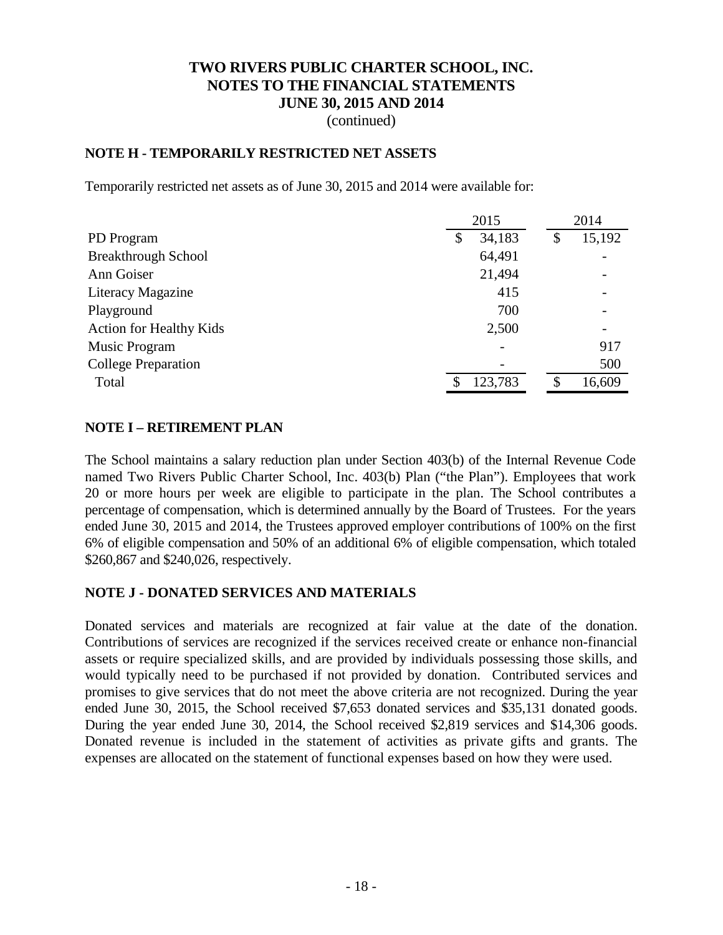(continued)

#### **NOTE H - TEMPORARILY RESTRICTED NET ASSETS**

Temporarily restricted net assets as of June 30, 2015 and 2014 were available for:

|                                | 2015         |    | 2014   |  |
|--------------------------------|--------------|----|--------|--|
| PD Program                     | 34,183<br>\$ | \$ | 15,192 |  |
| <b>Breakthrough School</b>     | 64,491       |    |        |  |
| Ann Goiser                     | 21,494       |    |        |  |
| Literacy Magazine              | 415          |    |        |  |
| Playground                     | 700          |    |        |  |
| <b>Action for Healthy Kids</b> | 2,500        |    |        |  |
| Music Program                  |              |    | 917    |  |
| <b>College Preparation</b>     |              |    | 500    |  |
| Total                          | 123,783      | S. | 16,609 |  |
|                                |              |    |        |  |

#### **NOTE I – RETIREMENT PLAN**

The School maintains a salary reduction plan under Section 403(b) of the Internal Revenue Code named Two Rivers Public Charter School, Inc. 403(b) Plan ("the Plan"). Employees that work 20 or more hours per week are eligible to participate in the plan. The School contributes a percentage of compensation, which is determined annually by the Board of Trustees. For the years ended June 30, 2015 and 2014, the Trustees approved employer contributions of 100% on the first 6% of eligible compensation and 50% of an additional 6% of eligible compensation, which totaled \$260,867 and \$240,026, respectively.

### **NOTE J - DONATED SERVICES AND MATERIALS**

Donated services and materials are recognized at fair value at the date of the donation. Contributions of services are recognized if the services received create or enhance non-financial assets or require specialized skills, and are provided by individuals possessing those skills, and would typically need to be purchased if not provided by donation. Contributed services and promises to give services that do not meet the above criteria are not recognized. During the year ended June 30, 2015, the School received \$7,653 donated services and \$35,131 donated goods. During the year ended June 30, 2014, the School received \$2,819 services and \$14,306 goods. Donated revenue is included in the statement of activities as private gifts and grants. The expenses are allocated on the statement of functional expenses based on how they were used.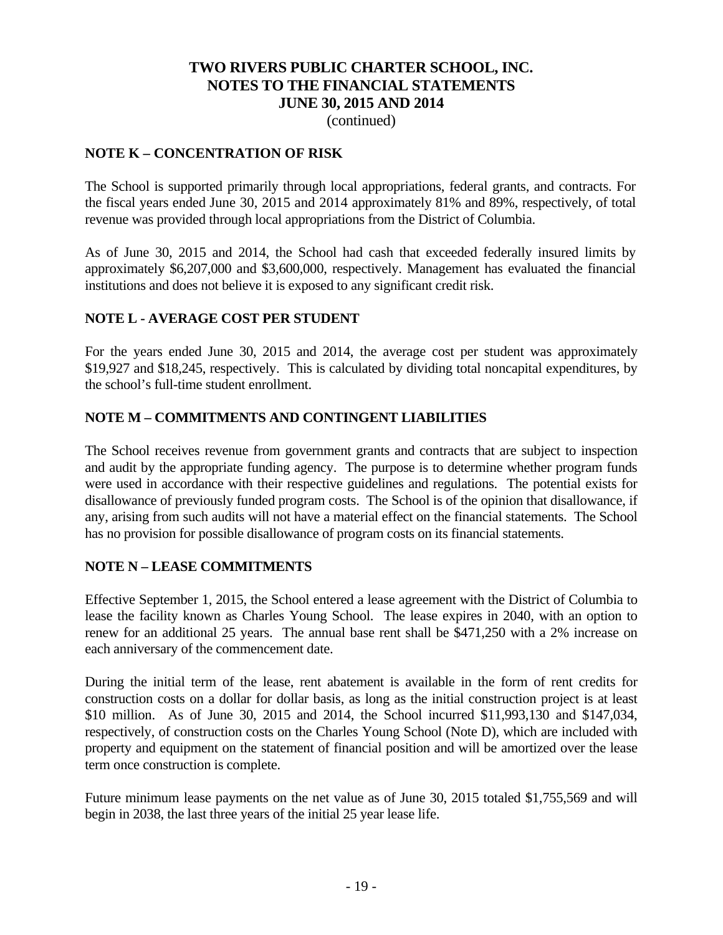(continued)

### **NOTE K – CONCENTRATION OF RISK**

The School is supported primarily through local appropriations, federal grants, and contracts. For the fiscal years ended June 30, 2015 and 2014 approximately 81% and 89%, respectively, of total revenue was provided through local appropriations from the District of Columbia.

As of June 30, 2015 and 2014, the School had cash that exceeded federally insured limits by approximately \$6,207,000 and \$3,600,000, respectively. Management has evaluated the financial institutions and does not believe it is exposed to any significant credit risk.

### **NOTE L - AVERAGE COST PER STUDENT**

For the years ended June 30, 2015 and 2014, the average cost per student was approximately \$19,927 and \$18,245, respectively. This is calculated by dividing total noncapital expenditures, by the school's full-time student enrollment.

### **NOTE M – COMMITMENTS AND CONTINGENT LIABILITIES**

The School receives revenue from government grants and contracts that are subject to inspection and audit by the appropriate funding agency. The purpose is to determine whether program funds were used in accordance with their respective guidelines and regulations. The potential exists for disallowance of previously funded program costs. The School is of the opinion that disallowance, if any, arising from such audits will not have a material effect on the financial statements. The School has no provision for possible disallowance of program costs on its financial statements.

## **NOTE N – LEASE COMMITMENTS**

Effective September 1, 2015, the School entered a lease agreement with the District of Columbia to lease the facility known as Charles Young School. The lease expires in 2040, with an option to renew for an additional 25 years. The annual base rent shall be \$471,250 with a 2% increase on each anniversary of the commencement date.

During the initial term of the lease, rent abatement is available in the form of rent credits for construction costs on a dollar for dollar basis, as long as the initial construction project is at least \$10 million. As of June 30, 2015 and 2014, the School incurred \$11,993,130 and \$147,034, respectively, of construction costs on the Charles Young School (Note D), which are included with property and equipment on the statement of financial position and will be amortized over the lease term once construction is complete.

Future minimum lease payments on the net value as of June 30, 2015 totaled \$1,755,569 and will begin in 2038, the last three years of the initial 25 year lease life.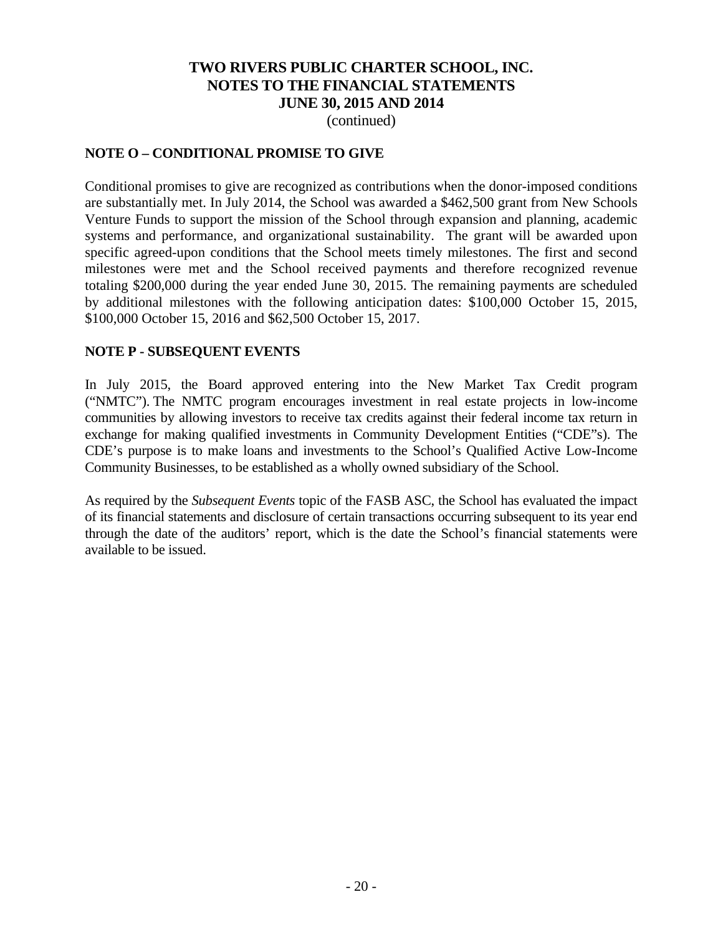(continued)

### **NOTE O – CONDITIONAL PROMISE TO GIVE**

Conditional promises to give are recognized as contributions when the donor-imposed conditions are substantially met. In July 2014, the School was awarded a \$462,500 grant from New Schools Venture Funds to support the mission of the School through expansion and planning, academic systems and performance, and organizational sustainability. The grant will be awarded upon specific agreed-upon conditions that the School meets timely milestones. The first and second milestones were met and the School received payments and therefore recognized revenue totaling \$200,000 during the year ended June 30, 2015. The remaining payments are scheduled by additional milestones with the following anticipation dates: \$100,000 October 15, 2015, \$100,000 October 15, 2016 and \$62,500 October 15, 2017.

### **NOTE P - SUBSEQUENT EVENTS**

In July 2015, the Board approved entering into the New Market Tax Credit program ("NMTC"). The NMTC program encourages investment in real estate projects in low-income communities by allowing investors to receive tax credits against their federal income tax return in exchange for making qualified investments in Community Development Entities ("CDE"s). The CDE's purpose is to make loans and investments to the School's Qualified Active Low-Income Community Businesses, to be established as a wholly owned subsidiary of the School.

As required by the *Subsequent Events* topic of the FASB ASC, the School has evaluated the impact of its financial statements and disclosure of certain transactions occurring subsequent to its year end through the date of the auditors' report, which is the date the School's financial statements were available to be issued.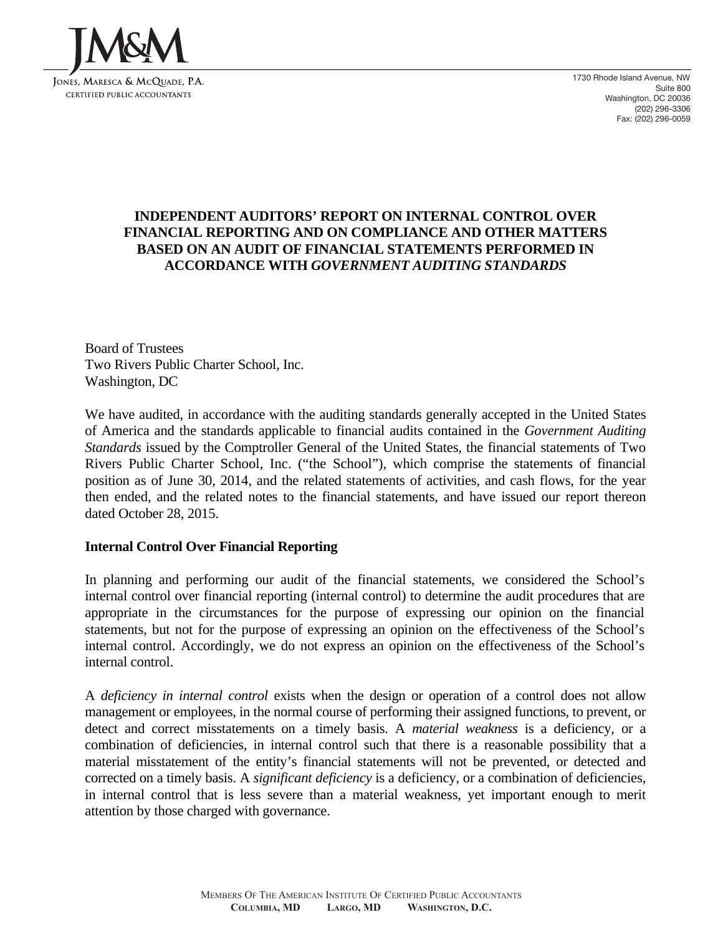

1730 Rhode Island Avenue, NW Suite 800 Washington, DC 20036 (202) 296-3306 Fax: (202) 296-0059

## **INDEPENDENT AUDITORS' REPORT ON INTERNAL CONTROL OVER FINANCIAL REPORTING AND ON COMPLIANCE AND OTHER MATTERS BASED ON AN AUDIT OF FINANCIAL STATEMENTS PERFORMED IN ACCORDANCE WITH** *GOVERNMENT AUDITING STANDARDS*

Board of Trustees Two Rivers Public Charter School, Inc. Washington, DC

We have audited, in accordance with the auditing standards generally accepted in the United States of America and the standards applicable to financial audits contained in the *Government Auditing Standards* issued by the Comptroller General of the United States, the financial statements of Two Rivers Public Charter School, Inc. ("the School"), which comprise the statements of financial position as of June 30, 2014, and the related statements of activities, and cash flows, for the year then ended, and the related notes to the financial statements, and have issued our report thereon dated October 28, 2015.

#### **Internal Control Over Financial Reporting**

In planning and performing our audit of the financial statements, we considered the School's internal control over financial reporting (internal control) to determine the audit procedures that are appropriate in the circumstances for the purpose of expressing our opinion on the financial statements, but not for the purpose of expressing an opinion on the effectiveness of the School's internal control. Accordingly, we do not express an opinion on the effectiveness of the School's internal control.

A *deficiency in internal control* exists when the design or operation of a control does not allow management or employees, in the normal course of performing their assigned functions, to prevent, or detect and correct misstatements on a timely basis. A *material weakness* is a deficiency, or a combination of deficiencies, in internal control such that there is a reasonable possibility that a material misstatement of the entity's financial statements will not be prevented, or detected and corrected on a timely basis. A *significant deficiency* is a deficiency, or a combination of deficiencies, in internal control that is less severe than a material weakness, yet important enough to merit attention by those charged with governance.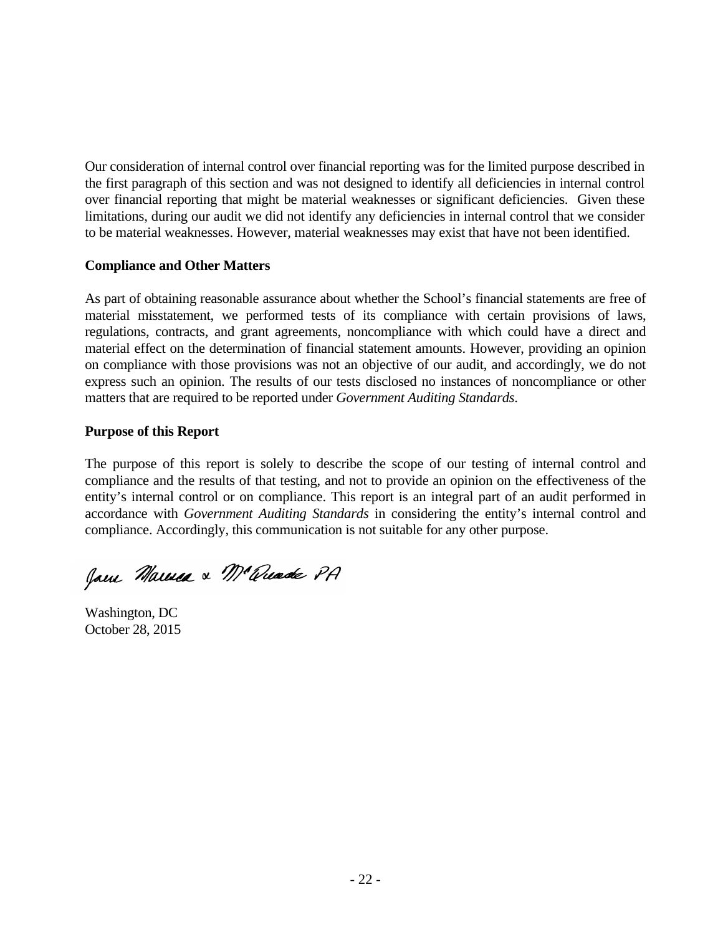Our consideration of internal control over financial reporting was for the limited purpose described in the first paragraph of this section and was not designed to identify all deficiencies in internal control over financial reporting that might be material weaknesses or significant deficiencies. Given these limitations, during our audit we did not identify any deficiencies in internal control that we consider to be material weaknesses. However, material weaknesses may exist that have not been identified.

## **Compliance and Other Matters**

As part of obtaining reasonable assurance about whether the School's financial statements are free of material misstatement, we performed tests of its compliance with certain provisions of laws, regulations, contracts, and grant agreements, noncompliance with which could have a direct and material effect on the determination of financial statement amounts. However, providing an opinion on compliance with those provisions was not an objective of our audit, and accordingly, we do not express such an opinion. The results of our tests disclosed no instances of noncompliance or other matters that are required to be reported under *Government Auditing Standards*.

### **Purpose of this Report**

The purpose of this report is solely to describe the scope of our testing of internal control and compliance and the results of that testing, and not to provide an opinion on the effectiveness of the entity's internal control or on compliance. This report is an integral part of an audit performed in accordance with *Government Auditing Standards* in considering the entity's internal control and compliance. Accordingly, this communication is not suitable for any other purpose.

Jam Marcea & Ma Quade PA

Washington, DC October 28, 2015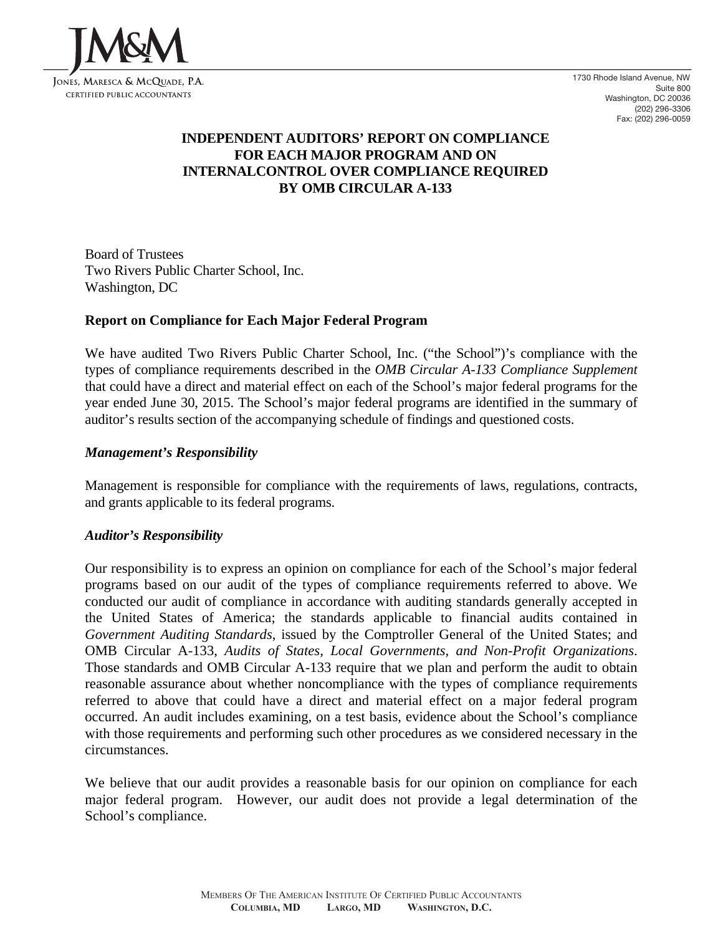

1730 Rhode Island Avenue, NW Suite 800 Washington, DC 20036 (202) 296-3306 Fax: (202) 296-0059

## **INDEPENDENT AUDITORS' REPORT ON COMPLIANCE FOR EACH MAJOR PROGRAM AND ON INTERNALCONTROL OVER COMPLIANCE REQUIRED BY OMB CIRCULAR A-133**

Board of Trustees Two Rivers Public Charter School, Inc. Washington, DC

#### **Report on Compliance for Each Major Federal Program**

We have audited Two Rivers Public Charter School, Inc. ("the School")'s compliance with the types of compliance requirements described in the *OMB Circular A-133 Compliance Supplement* that could have a direct and material effect on each of the School's major federal programs for the year ended June 30, 2015. The School's major federal programs are identified in the summary of auditor's results section of the accompanying schedule of findings and questioned costs.

### *Management's Responsibility*

Management is responsible for compliance with the requirements of laws, regulations, contracts, and grants applicable to its federal programs.

#### *Auditor's Responsibility*

Our responsibility is to express an opinion on compliance for each of the School's major federal programs based on our audit of the types of compliance requirements referred to above. We conducted our audit of compliance in accordance with auditing standards generally accepted in the United States of America; the standards applicable to financial audits contained in *Government Auditing Standards*, issued by the Comptroller General of the United States; and OMB Circular A-133, *Audits of States, Local Governments*, *and Non-Profit Organizations*. Those standards and OMB Circular A-133 require that we plan and perform the audit to obtain reasonable assurance about whether noncompliance with the types of compliance requirements referred to above that could have a direct and material effect on a major federal program occurred. An audit includes examining, on a test basis, evidence about the School's compliance with those requirements and performing such other procedures as we considered necessary in the circumstances.

We believe that our audit provides a reasonable basis for our opinion on compliance for each major federal program. However, our audit does not provide a legal determination of the School's compliance.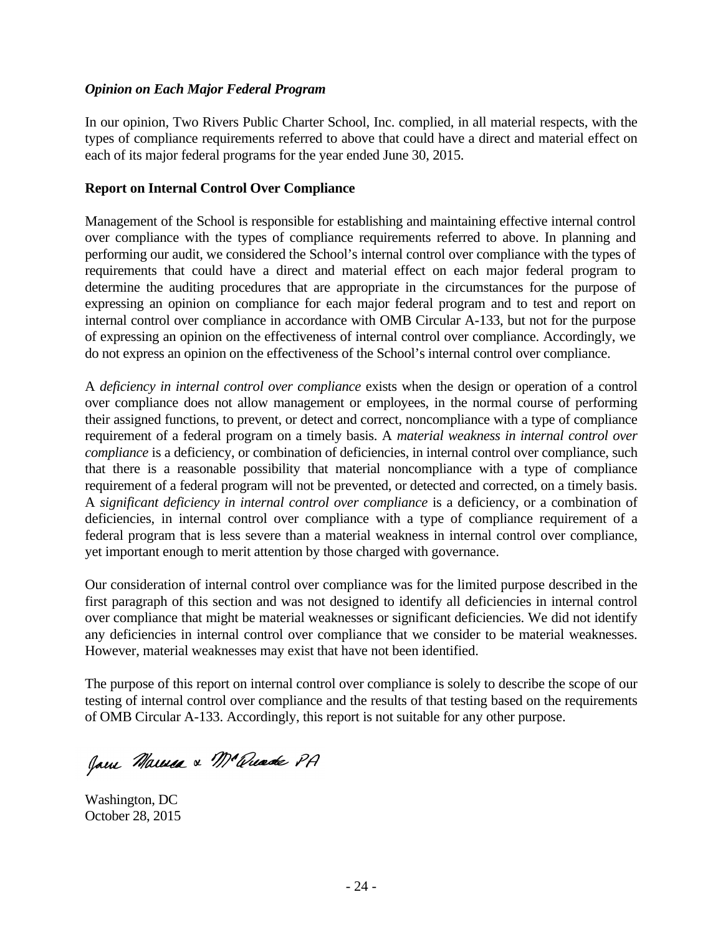### *Opinion on Each Major Federal Program*

In our opinion, Two Rivers Public Charter School, Inc. complied, in all material respects, with the types of compliance requirements referred to above that could have a direct and material effect on each of its major federal programs for the year ended June 30, 2015.

#### **Report on Internal Control Over Compliance**

Management of the School is responsible for establishing and maintaining effective internal control over compliance with the types of compliance requirements referred to above. In planning and performing our audit, we considered the School's internal control over compliance with the types of requirements that could have a direct and material effect on each major federal program to determine the auditing procedures that are appropriate in the circumstances for the purpose of expressing an opinion on compliance for each major federal program and to test and report on internal control over compliance in accordance with OMB Circular A-133, but not for the purpose of expressing an opinion on the effectiveness of internal control over compliance. Accordingly, we do not express an opinion on the effectiveness of the School's internal control over compliance.

A *deficiency in internal control over compliance* exists when the design or operation of a control over compliance does not allow management or employees, in the normal course of performing their assigned functions, to prevent, or detect and correct, noncompliance with a type of compliance requirement of a federal program on a timely basis. A *material weakness in internal control over compliance* is a deficiency, or combination of deficiencies, in internal control over compliance, such that there is a reasonable possibility that material noncompliance with a type of compliance requirement of a federal program will not be prevented, or detected and corrected, on a timely basis. A *significant deficiency in internal control over compliance* is a deficiency, or a combination of deficiencies, in internal control over compliance with a type of compliance requirement of a federal program that is less severe than a material weakness in internal control over compliance, yet important enough to merit attention by those charged with governance.

Our consideration of internal control over compliance was for the limited purpose described in the first paragraph of this section and was not designed to identify all deficiencies in internal control over compliance that might be material weaknesses or significant deficiencies. We did not identify any deficiencies in internal control over compliance that we consider to be material weaknesses. However, material weaknesses may exist that have not been identified.

The purpose of this report on internal control over compliance is solely to describe the scope of our testing of internal control over compliance and the results of that testing based on the requirements of OMB Circular A-133. Accordingly, this report is not suitable for any other purpose.

Jam Marina & M'Quade PA

Washington, DC October 28, 2015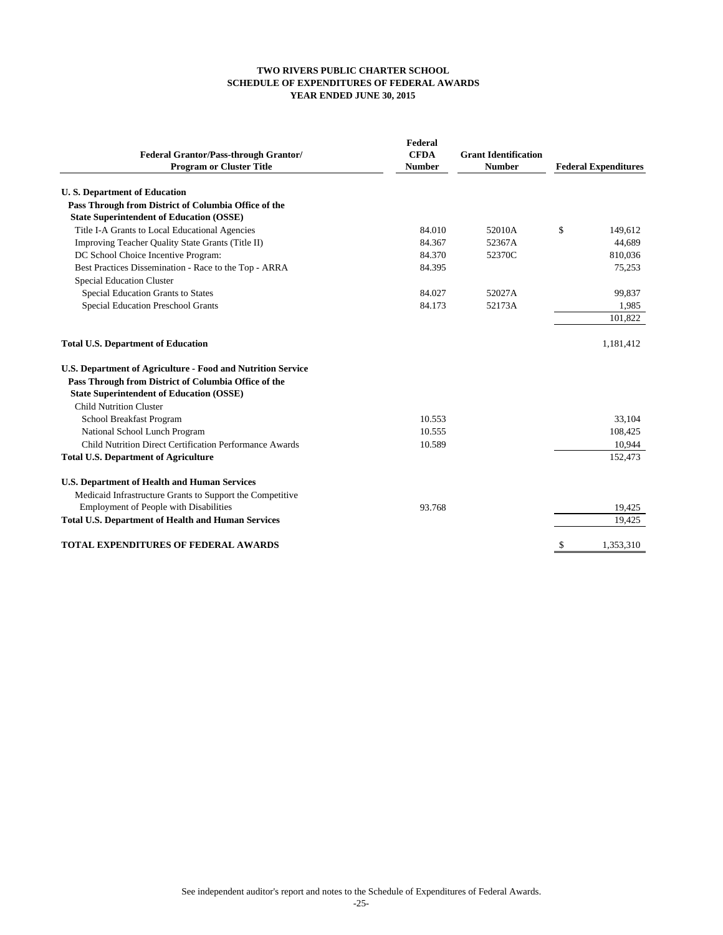#### **TWO RIVERS PUBLIC CHARTER SCHOOL SCHEDULE OF EXPENDITURES OF FEDERAL AWARDS YEAR ENDED JUNE 30, 2015**

| <b>Federal Grantor/Pass-through Grantor/</b>                | Federal<br><b>CFDA</b> | <b>Grant Identification</b> |                             |           |
|-------------------------------------------------------------|------------------------|-----------------------------|-----------------------------|-----------|
| <b>Program or Cluster Title</b>                             | <b>Number</b>          | <b>Number</b>               | <b>Federal Expenditures</b> |           |
| <b>U.S. Department of Education</b>                         |                        |                             |                             |           |
| Pass Through from District of Columbia Office of the        |                        |                             |                             |           |
| <b>State Superintendent of Education (OSSE)</b>             |                        |                             |                             |           |
| Title I-A Grants to Local Educational Agencies              | 84.010                 | 52010A                      | \$                          | 149,612   |
| Improving Teacher Quality State Grants (Title II)           | 84.367                 | 52367A                      |                             | 44,689    |
| DC School Choice Incentive Program:                         | 84.370                 | 52370C                      |                             | 810,036   |
| Best Practices Dissemination - Race to the Top - ARRA       | 84.395                 |                             |                             | 75,253    |
| <b>Special Education Cluster</b>                            |                        |                             |                             |           |
| Special Education Grants to States                          | 84.027                 | 52027A                      |                             | 99,837    |
| Special Education Preschool Grants                          | 84.173                 | 52173A                      |                             | 1,985     |
|                                                             |                        |                             |                             | 101,822   |
| <b>Total U.S. Department of Education</b>                   |                        |                             |                             | 1,181,412 |
| U.S. Department of Agriculture - Food and Nutrition Service |                        |                             |                             |           |
| Pass Through from District of Columbia Office of the        |                        |                             |                             |           |
| <b>State Superintendent of Education (OSSE)</b>             |                        |                             |                             |           |
| <b>Child Nutrition Cluster</b>                              |                        |                             |                             |           |
| School Breakfast Program                                    | 10.553                 |                             |                             | 33,104    |
| National School Lunch Program                               | 10.555                 |                             |                             | 108,425   |
| Child Nutrition Direct Certification Performance Awards     | 10.589                 |                             |                             | 10,944    |
| <b>Total U.S. Department of Agriculture</b>                 |                        |                             |                             | 152,473   |
| <b>U.S. Department of Health and Human Services</b>         |                        |                             |                             |           |
| Medicaid Infrastructure Grants to Support the Competitive   |                        |                             |                             |           |
| <b>Employment of People with Disabilities</b>               | 93.768                 |                             |                             | 19,425    |
| <b>Total U.S. Department of Health and Human Services</b>   |                        |                             |                             | 19,425    |
| TOTAL EXPENDITURES OF FEDERAL AWARDS                        |                        |                             | \$                          | 1,353,310 |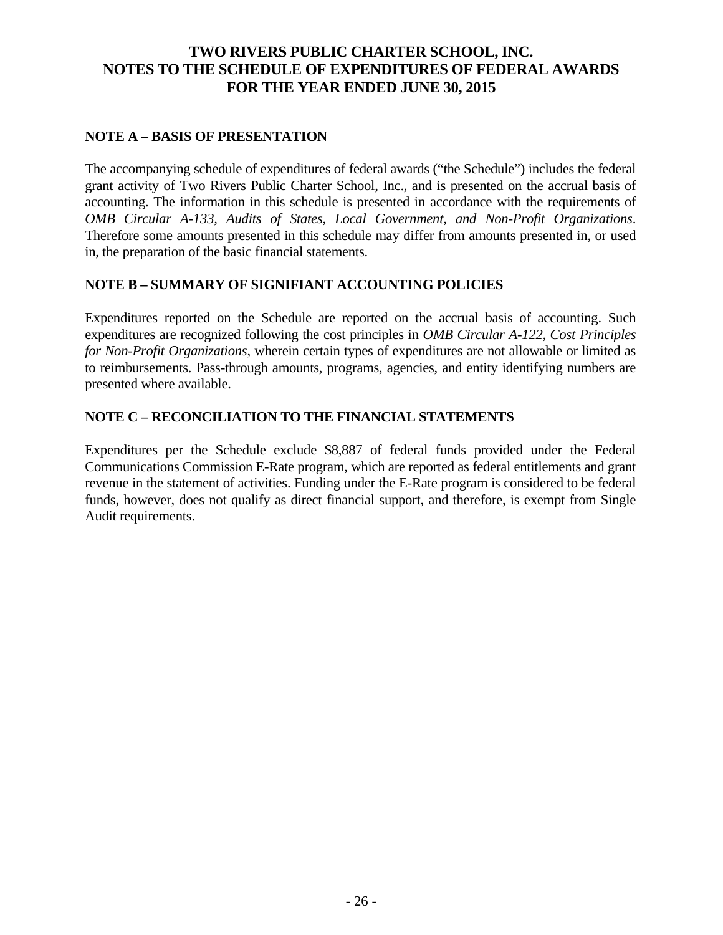# **TWO RIVERS PUBLIC CHARTER SCHOOL, INC. NOTES TO THE SCHEDULE OF EXPENDITURES OF FEDERAL AWARDS FOR THE YEAR ENDED JUNE 30, 2015**

## **NOTE A – BASIS OF PRESENTATION**

The accompanying schedule of expenditures of federal awards ("the Schedule") includes the federal grant activity of Two Rivers Public Charter School, Inc., and is presented on the accrual basis of accounting. The information in this schedule is presented in accordance with the requirements of *OMB Circular A-133, Audits of States, Local Government, and Non-Profit Organizations*. Therefore some amounts presented in this schedule may differ from amounts presented in, or used in, the preparation of the basic financial statements.

## **NOTE B – SUMMARY OF SIGNIFIANT ACCOUNTING POLICIES**

Expenditures reported on the Schedule are reported on the accrual basis of accounting. Such expenditures are recognized following the cost principles in *OMB Circular A-122, Cost Principles for Non-Profit Organizations*, wherein certain types of expenditures are not allowable or limited as to reimbursements. Pass-through amounts, programs, agencies, and entity identifying numbers are presented where available.

## **NOTE C – RECONCILIATION TO THE FINANCIAL STATEMENTS**

Expenditures per the Schedule exclude \$8,887 of federal funds provided under the Federal Communications Commission E-Rate program, which are reported as federal entitlements and grant revenue in the statement of activities. Funding under the E-Rate program is considered to be federal funds, however, does not qualify as direct financial support, and therefore, is exempt from Single Audit requirements.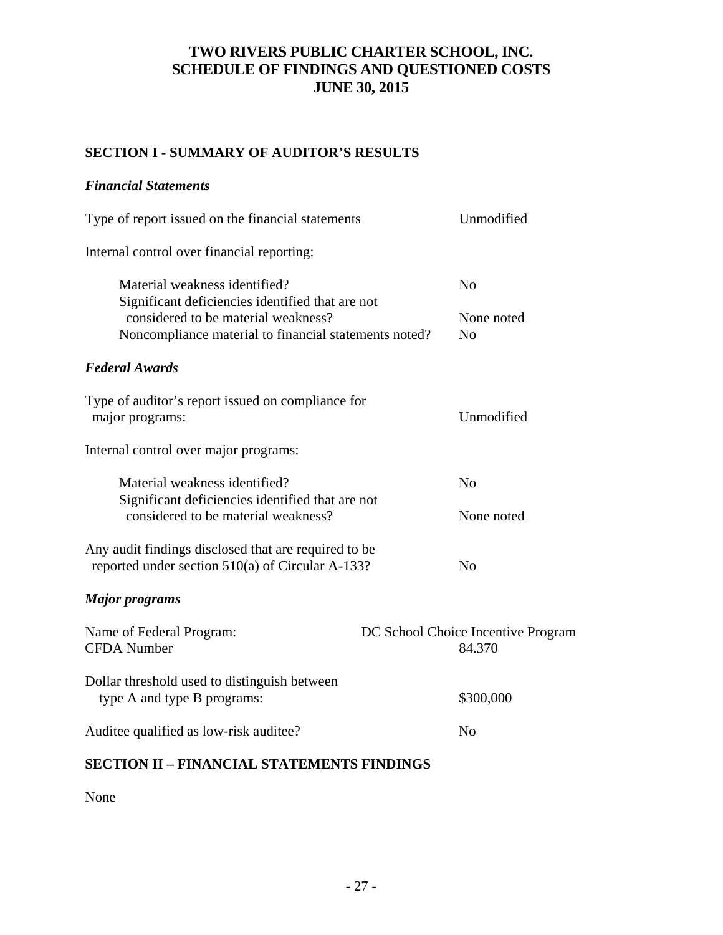# **TWO RIVERS PUBLIC CHARTER SCHOOL, INC. SCHEDULE OF FINDINGS AND QUESTIONED COSTS JUNE 30, 2015**

# **SECTION I - SUMMARY OF AUDITOR'S RESULTS**

### *Financial Statements*

| Type of report issued on the financial statements                                                        | Unmodified                                   |
|----------------------------------------------------------------------------------------------------------|----------------------------------------------|
| Internal control over financial reporting:                                                               |                                              |
| Material weakness identified?<br>Significant deficiencies identified that are not                        | N <sub>0</sub>                               |
| considered to be material weakness?                                                                      | None noted                                   |
| Noncompliance material to financial statements noted?                                                    | N <sub>o</sub>                               |
| <b>Federal Awards</b>                                                                                    |                                              |
| Type of auditor's report issued on compliance for<br>major programs:                                     | Unmodified                                   |
| Internal control over major programs:                                                                    |                                              |
| Material weakness identified?<br>Significant deficiencies identified that are not                        | N <sub>0</sub>                               |
| considered to be material weakness?                                                                      | None noted                                   |
| Any audit findings disclosed that are required to be<br>reported under section 510(a) of Circular A-133? | N <sub>o</sub>                               |
| <b>Major programs</b>                                                                                    |                                              |
| Name of Federal Program:<br><b>CFDA Number</b>                                                           | DC School Choice Incentive Program<br>84.370 |
| Dollar threshold used to distinguish between<br>type A and type B programs:                              | \$300,000                                    |
| Auditee qualified as low-risk auditee?                                                                   | N <sub>o</sub>                               |
|                                                                                                          |                                              |

# **SECTION II – FINANCIAL STATEMENTS FINDINGS**

None